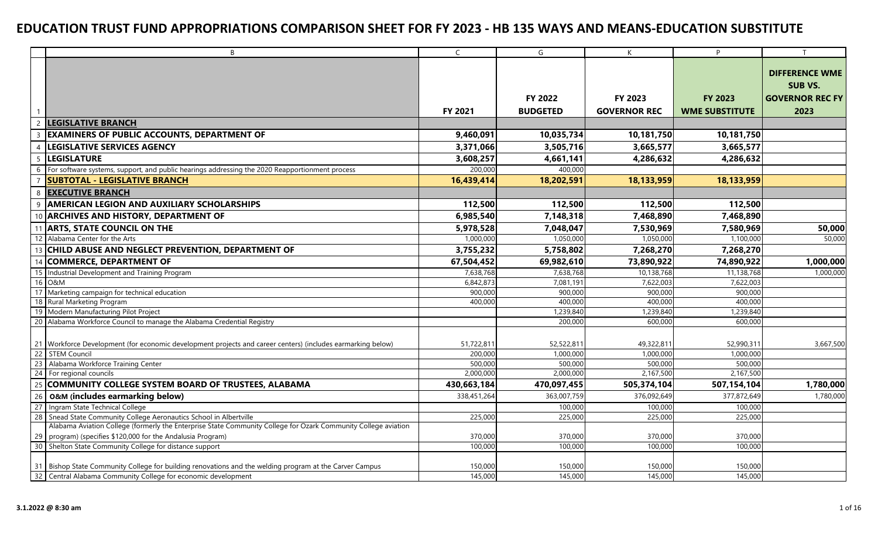| $\overline{B}$                                                                                                 | $\mathsf{C}$ | G               | K                   | P                     | T                      |
|----------------------------------------------------------------------------------------------------------------|--------------|-----------------|---------------------|-----------------------|------------------------|
|                                                                                                                |              |                 |                     |                       |                        |
|                                                                                                                |              |                 |                     |                       | <b>DIFFERENCE WME</b>  |
|                                                                                                                |              |                 |                     |                       | <b>SUB VS.</b>         |
|                                                                                                                |              | FY 2022         | FY 2023             | <b>FY 2023</b>        | <b>GOVERNOR REC FY</b> |
| $\mathbf{1}$                                                                                                   | FY 2021      | <b>BUDGETED</b> | <b>GOVERNOR REC</b> | <b>WME SUBSTITUTE</b> | 2023                   |
| <b>LEGISLATIVE BRANCH</b><br>$\overline{\phantom{0}}$                                                          |              |                 |                     |                       |                        |
| <b>EXAMINERS OF PUBLIC ACCOUNTS, DEPARTMENT OF</b>                                                             | 9,460,091    | 10,035,734      | 10,181,750          | 10,181,750            |                        |
| <b>LEGISLATIVE SERVICES AGENCY</b>                                                                             | 3,371,066    | 3,505,716       | 3,665,577           | 3,665,577             |                        |
| <b>LEGISLATURE</b>                                                                                             | 3,608,257    | 4,661,141       | 4,286,632           | 4,286,632             |                        |
| For software systems, support, and public hearings addressing the 2020 Reapportionment process<br>6            | 200,000      | 400.000         |                     |                       |                        |
| <b>SUBTOTAL - LEGISLATIVE BRANCH</b>                                                                           | 16,439,414   | 18,202,591      | 18,133,959          | 18,133,959            |                        |
| <b>EXECUTIVE BRANCH</b><br>8                                                                                   |              |                 |                     |                       |                        |
| <b>AMERICAN LEGION AND AUXILIARY SCHOLARSHIPS</b>                                                              | 112,500      | 112,500         | 112,500             | 112,500               |                        |
| <b>ARCHIVES AND HISTORY, DEPARTMENT OF</b>                                                                     | 6,985,540    | 7,148,318       | 7,468,890           | 7,468,890             |                        |
| <b>ARTS, STATE COUNCIL ON THE</b>                                                                              | 5,978,528    | 7,048,047       | 7,530,969           | 7,580,969             | 50,000                 |
| 12 Alabama Center for the Arts                                                                                 | 1,000,000    | 1,050,000       | 1,050,000           | 1,100,000             | 50,000                 |
| CHILD ABUSE AND NEGLECT PREVENTION, DEPARTMENT OF<br>13                                                        | 3,755,232    | 5,758,802       | 7,268,270           | 7,268,270             |                        |
| <b>COMMERCE, DEPARTMENT OF</b><br>14                                                                           | 67,504,452   | 69,982,610      | 73,890,922          | 74,890,922            | 1,000,000              |
| Industrial Development and Training Program<br>15                                                              | 7,638,768    | 7,638,768       | 10,138,768          | 11,138,768            | 1,000,000              |
| 16<br>O&M                                                                                                      | 6,842,873    | 7,081,191       | 7,622,003           | 7,622,003             |                        |
| 17 Marketing campaign for technical education                                                                  | 900,000      | 900,000         | 900,000             | 900,000               |                        |
| 18 Rural Marketing Program                                                                                     | 400,000      | 400,000         | 400,000             | 400,000               |                        |
| 19 Modern Manufacturing Pilot Project                                                                          |              | 1,239,840       | 1,239,840           | 1,239,840             |                        |
| 20 Alabama Workforce Council to manage the Alabama Credential Registry                                         |              | 200,000         | 600.000             | 600,000               |                        |
|                                                                                                                |              |                 |                     |                       |                        |
| 21 Workforce Development (for economic development projects and career centers) (includes earmarking below)    | 51,722,811   | 52,522,811      | 49,322,811          | 52,990,311            | 3,667,500              |
| 22 STEM Council                                                                                                | 200,000      | 1,000,000       | 1,000,000           | 1,000,000             |                        |
| 23<br>Alabama Workforce Training Center                                                                        | 500,000      | 500,000         | 500.000             | 500,000               |                        |
| 24 For regional councils                                                                                       | 2,000,000    | 2,000,000       | 2,167,500           | 2,167,500             |                        |
| 25 COMMUNITY COLLEGE SYSTEM BOARD OF TRUSTEES, ALABAMA                                                         | 430,663,184  | 470,097,455     | 505,374,104         | 507,154,104           | 1,780,000              |
| 26<br>O&M (includes earmarking below)                                                                          | 338,451,264  | 363,007,759     | 376,092,649         | 377,872,649           | 1,780,000              |
| 27<br>Ingram State Technical College                                                                           |              | 100,000         | 100,000             | 100,000               |                        |
| 28<br>Snead State Community College Aeronautics School in Albertville                                          | 225,000      | 225,000         | 225,000             | 225,000               |                        |
| Alabama Aviation College (formerly the Enterprise State Community College for Ozark Community College aviation |              |                 |                     |                       |                        |
| program) (specifies \$120,000 for the Andalusia Program)<br>29                                                 | 370,000      | 370,000         | 370,000             | 370,000               |                        |
| 30 Shelton State Community College for distance support                                                        | 100,000      | 100,000         | 100,000             | 100,000               |                        |
| 31 Bishop State Community College for building renovations and the welding program at the Carver Campus        | 150,000      | 150,000         | 150,000             | 150,000               |                        |
| 32 Central Alabama Community College for economic development                                                  | 145,000      | 145,000         | 145,000             | 145,000               |                        |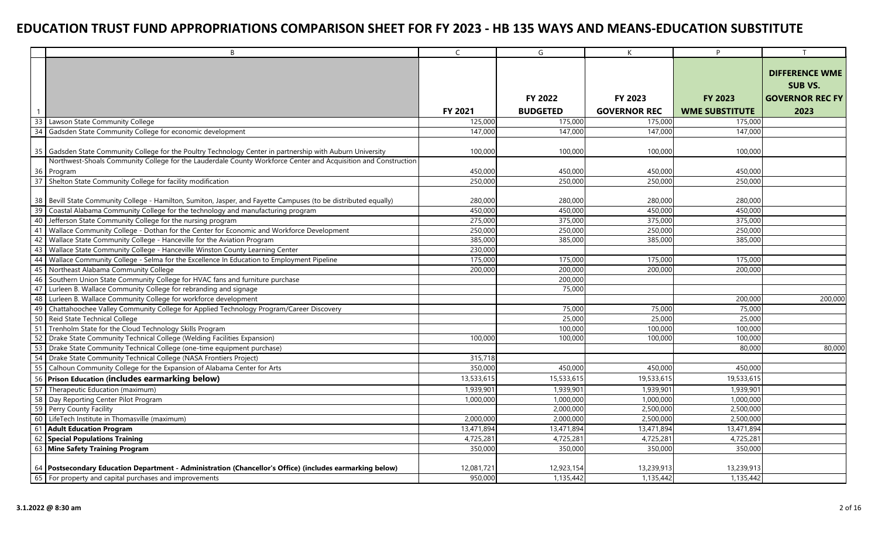|                 | B                                                                                                              | $\mathsf{C}$ | G               | K                   | P                     |                        |
|-----------------|----------------------------------------------------------------------------------------------------------------|--------------|-----------------|---------------------|-----------------------|------------------------|
|                 |                                                                                                                |              |                 |                     |                       |                        |
|                 |                                                                                                                |              |                 |                     |                       | <b>DIFFERENCE WME</b>  |
|                 |                                                                                                                |              |                 |                     |                       | <b>SUB VS.</b>         |
|                 |                                                                                                                |              | <b>FY 2022</b>  | FY 2023             | <b>FY 2023</b>        | <b>GOVERNOR REC FY</b> |
|                 |                                                                                                                | FY 2021      | <b>BUDGETED</b> | <b>GOVERNOR REC</b> | <b>WME SUBSTITUTE</b> | 2023                   |
| 33              | Lawson State Community College                                                                                 | 125,000      | 175,000         | 175,000             | 175,000               |                        |
| 34              | Gadsden State Community College for economic development                                                       | 147,000      | 147,000         | 147,000             | 147,000               |                        |
|                 |                                                                                                                |              |                 |                     |                       |                        |
| 35              | Gadsden State Community College for the Poultry Technology Center in partnership with Auburn University        | 100,000      | 100,000         | 100,000             | 100,000               |                        |
|                 | Northwest-Shoals Community College for the Lauderdale County Workforce Center and Acquisition and Construction |              |                 |                     |                       |                        |
| 36              | Program                                                                                                        | 450,000      | 450,000         | 450,000             | 450,000               |                        |
| 37              | Shelton State Community College for facility modification                                                      | 250,000      | 250,000         | 250,000             | 250,000               |                        |
|                 |                                                                                                                |              |                 |                     |                       |                        |
| 38              | Bevill State Community College - Hamilton, Sumiton, Jasper, and Fayette Campuses (to be distributed equally)   | 280,000      | 280,000         | 280,000             | 280,000               |                        |
| $\overline{39}$ | Coastal Alabama Community College for the technology and manufacturing program                                 | 450,000      | 450,000         | 450,000             | 450,000               |                        |
| 40              | Jefferson State Community College for the nursing program                                                      | 275,000      | 375,000         | 375,000             | 375,000               |                        |
| 41              | Wallace Community College - Dothan for the Center for Economic and Workforce Development                       | 250,000      | 250,000         | 250,000             | 250,000               |                        |
| 42              | Wallace State Community College - Hanceville for the Aviation Program                                          | 385,000      | 385,000         | 385,000             | 385,000               |                        |
| 43              | Wallace State Community College - Hanceville Winston County Learning Center                                    | 230,000      |                 |                     |                       |                        |
| 44              | Wallace Community College - Selma for the Excellence In Education to Employment Pipeline                       | 175,000      | 175,000         | 175,000             | 175,000               |                        |
| 45              | Northeast Alabama Community College                                                                            | 200,000      | 200,000         | 200,000             | 200,000               |                        |
| 46              | Southern Union State Community College for HVAC fans and furniture purchase                                    |              | 200,000         |                     |                       |                        |
| 47              | Lurleen B. Wallace Community College for rebranding and signage                                                |              | 75,000          |                     |                       |                        |
| 48              | Lurleen B. Wallace Community College for workforce development                                                 |              |                 |                     | 200,000               | 200,000                |
| 49              | Chattahoochee Valley Community College for Applied Technology Program/Career Discovery                         |              | 75,000          | 75,000              | 75,000                |                        |
| 50              | Reid State Technical College                                                                                   |              | 25,000          | 25,000              | 25,000                |                        |
| 51              | Trenholm State for the Cloud Technology Skills Program                                                         |              | 100,000         | 100,000             | 100,000               |                        |
| 52              | Drake State Community Technical College (Welding Facilities Expansion)                                         | 100,000      | 100,000         | 100,000             | 100,000               |                        |
| 53              | Drake State Community Technical College (one-time equipment purchase)                                          |              |                 |                     | 80,000                | 80,000                 |
| 54              | Drake State Community Technical College (NASA Frontiers Project)                                               | 315,718      |                 |                     |                       |                        |
| 55              | Calhoun Community College for the Expansion of Alabama Center for Arts                                         | 350,000      | 450,000         | 450,000             | 450,000               |                        |
|                 | 56 Prison Education (includes earmarking below)                                                                | 13,533,615   | 15,533,615      | 19,533,615          | 19,533,615            |                        |
| $\overline{57}$ | Therapeutic Education (maximum)                                                                                | 1,939,901    | 1,939,901       | 1,939,901           | 1,939,901             |                        |
| 58              | Day Reporting Center Pilot Program                                                                             | 1,000,000    | 1,000,000       | 1,000,000           | 1,000,000             |                        |
| 59              | Perry County Facility                                                                                          |              | 2,000,000       | 2,500,000           | 2,500,000             |                        |
| 60              | LifeTech Institute in Thomasville (maximum)                                                                    | 2,000,000    | 2,000,000       | 2,500,000           | 2,500,000             |                        |
| 61              | <b>Adult Education Program</b>                                                                                 | 13,471,894   | 13,471,894      | 13,471,894          | 13,471,894            |                        |
| 62              | <b>Special Populations Training</b>                                                                            | 4,725,281    | 4,725,281       | 4,725,281           | 4,725,281             |                        |
|                 | 63 Mine Safety Training Program                                                                                | 350,000      | 350,000         | 350,000             | 350,000               |                        |
|                 |                                                                                                                |              |                 |                     |                       |                        |
|                 | 64 Postsecondary Education Department - Administration (Chancellor's Office) (includes earmarking below)       | 12,081,721   | 12,923,154      | 13,239,913          | 13,239,913            |                        |
|                 | 65 For property and capital purchases and improvements                                                         | 950,000      | 1,135,442       | 1,135,442           | 1,135,442             |                        |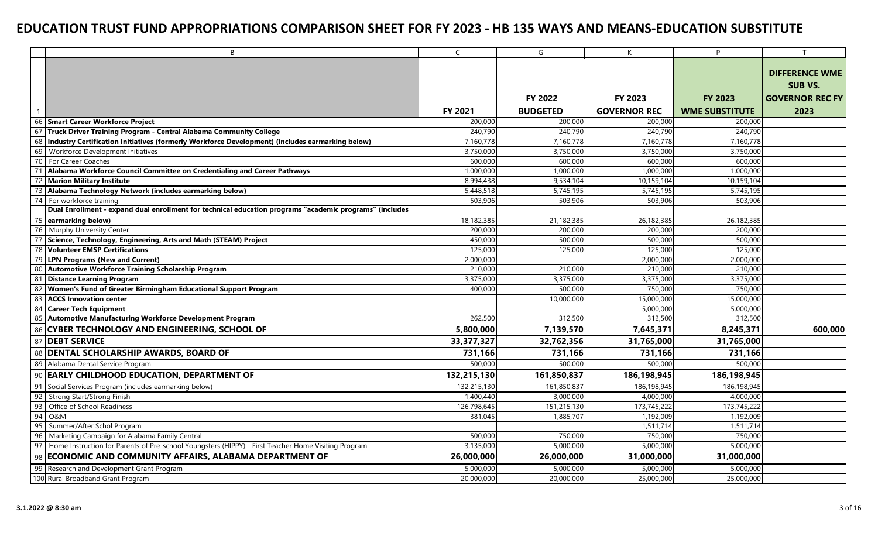|                 | B                                                                                                       | $\mathsf{C}$ | G               | K                   | P                     | T                      |
|-----------------|---------------------------------------------------------------------------------------------------------|--------------|-----------------|---------------------|-----------------------|------------------------|
|                 |                                                                                                         |              |                 |                     |                       |                        |
|                 |                                                                                                         |              |                 |                     |                       | <b>DIFFERENCE WME</b>  |
|                 |                                                                                                         |              |                 |                     |                       | SUB VS.                |
|                 |                                                                                                         |              | FY 2022         | FY 2023             | <b>FY 2023</b>        | <b>GOVERNOR REC FY</b> |
|                 |                                                                                                         | FY 2021      | <b>BUDGETED</b> | <b>GOVERNOR REC</b> | <b>WME SUBSTITUTE</b> | 2023                   |
| 66              | <b>Smart Career Workforce Project</b>                                                                   | 200,000      | 200,000         | 200,000             | 200,000               |                        |
| 67              | Truck Driver Training Program - Central Alabama Community College                                       | 240,790      | 240,790         | 240,790             | 240,790               |                        |
| 68              | Industry Certification Initiatives (formerly Workforce Development) (includes earmarking below)         | 7,160,778    | 7,160,778       | 7,160,778           | 7,160,778             |                        |
| 69              | Workforce Development Initiatives                                                                       | 3,750,000    | 3,750,000       | 3,750,000           | 3,750,000             |                        |
| 70              | For Career Coaches                                                                                      | 600,000      | 600,000         | 600,000             | 600,000               |                        |
| 71              | Alabama Workforce Council Committee on Credentialing and Career Pathways                                | 1,000,000    | 1,000,000       | 1,000,000           | 1,000,000             |                        |
| 72              | <b>Marion Military Institute</b>                                                                        | 8,994,438    | 9,534,104       | 10,159,104          | 10,159,104            |                        |
| 73              | Alabama Technology Network (includes earmarking below)                                                  | 5,448,518    | 5,745,195       | 5,745,195           | 5,745,195             |                        |
| 74              | For workforce training                                                                                  | 503,906      | 503,906         | 503,906             | 503,906               |                        |
|                 | Dual Enrollment - expand dual enrollment for technical education programs "academic programs" (includes |              |                 |                     |                       |                        |
|                 | 75 earmarking below)                                                                                    | 18,182,385   | 21,182,385      | 26,182,385          | 26,182,385            |                        |
| 76              | Murphy University Center                                                                                | 200,000      | 200,000         | 200,000             | 200,000               |                        |
| $\overline{77}$ | Science, Technology, Engineering, Arts and Math (STEAM) Project                                         | 450,000      | 500,000         | 500,000             | 500,000               |                        |
| 78              | <b>Volunteer EMSP Certifications</b>                                                                    | 125,000      | 125,000         | 125,000             | 125,000               |                        |
| 79              | <b>LPN Programs (New and Current)</b>                                                                   | 2,000,000    |                 | 2,000,000           | 2,000,000             |                        |
| 80              | <b>Automotive Workforce Training Scholarship Program</b>                                                | 210,000      | 210,000         | 210,000             | 210,000               |                        |
| 81              | <b>Distance Learning Program</b>                                                                        | 3,375,000    | 3,375,000       | 3,375,000           | 3,375,000             |                        |
| 82              | Women's Fund of Greater Birmingham Educational Support Program                                          | 400,000      | 500,000         | 750,000             | 750,000               |                        |
| 83              | <b>ACCS Innovation center</b>                                                                           |              | 10,000,000      | 15,000,000          | 15,000,000            |                        |
| 84              | <b>Career Tech Equipment</b>                                                                            |              |                 | 5,000,000           | 5,000,000             |                        |
| 85              | <b>Automotive Manufacturing Workforce Development Program</b>                                           | 262,500      | 312,500         | 312,500             | 312,500               |                        |
| 86              | <b>CYBER TECHNOLOGY AND ENGINEERING, SCHOOL OF</b>                                                      | 5,800,000    | 7,139,570       | 7,645,371           | 8,245,371             | 600,000                |
| 87              | <b>DEBT SERVICE</b>                                                                                     | 33,377,327   | 32,762,356      | 31,765,000          | 31,765,000            |                        |
| 88              | <b>DENTAL SCHOLARSHIP AWARDS, BOARD OF</b>                                                              | 731,166      | 731,166         | 731,166             | 731,166               |                        |
|                 | 89 Alabama Dental Service Program                                                                       | 500,000      | 500,000         | 500,000             | 500,000               |                        |
| 90              | <b>EARLY CHILDHOOD EDUCATION, DEPARTMENT OF</b>                                                         | 132,215,130  | 161,850,837     | 186,198,945         | 186,198,945           |                        |
| 91              | Social Services Program (includes earmarking below)                                                     | 132,215,130  | 161,850,837     | 186,198,945         | 186,198,945           |                        |
| 92              | <b>Strong Start/Strong Finish</b>                                                                       | 1,400,440    | 3,000,000       | 4,000,000           | 4,000,000             |                        |
| 93              | Office of School Readiness                                                                              | 126,798,645  | 151,215,130     | 173,745,222         | 173,745,222           |                        |
| 94              | O&M                                                                                                     | 381,045      | 1,885,707       | 1,192,009           | 1,192,009             |                        |
| 95              | Summer/After Schol Program                                                                              |              |                 | 1,511,714           | 1,511,714             |                        |
| 96              | Marketing Campaign for Alabama Family Central                                                           | 500,000      | 750,000         | 750,000             | 750,000               |                        |
| 97              | Home Instruction for Parents of Pre-school Youngsters (HIPPY) - First Teacher Home Visiting Program     | 3,135,000    | 5,000,000       | 5,000,000           | 5,000,000             |                        |
| 98              | <b>ECONOMIC AND COMMUNITY AFFAIRS, ALABAMA DEPARTMENT OF</b>                                            | 26,000,000   | 26,000,000      | 31,000,000          | 31,000,000            |                        |
| 99              | Research and Development Grant Program                                                                  | 5,000,000    | 5,000,000       | 5,000,000           | 5,000,000             |                        |
|                 | 100 Rural Broadband Grant Program                                                                       | 20,000,000   | 20,000,000      | 25,000,000          | 25,000,000            |                        |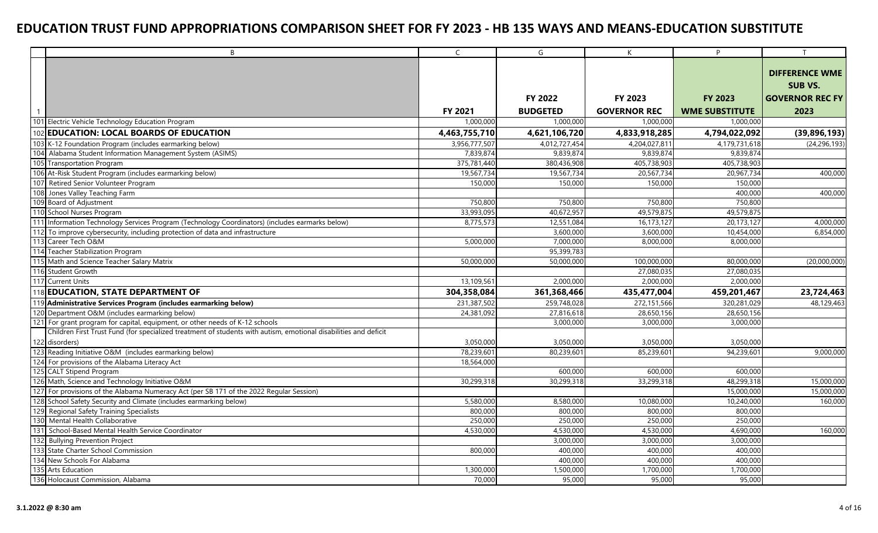| B                                                                                                                | $\mathsf{C}$   | G               | K                   | P                     |                        |
|------------------------------------------------------------------------------------------------------------------|----------------|-----------------|---------------------|-----------------------|------------------------|
|                                                                                                                  |                |                 |                     |                       | <b>DIFFERENCE WME</b>  |
|                                                                                                                  |                |                 |                     |                       |                        |
|                                                                                                                  |                |                 |                     |                       | <b>SUB VS.</b>         |
|                                                                                                                  |                | <b>FY 2022</b>  | FY 2023             | <b>FY 2023</b>        | <b>GOVERNOR REC FY</b> |
|                                                                                                                  | <b>FY 2021</b> | <b>BUDGETED</b> | <b>GOVERNOR REC</b> | <b>WME SUBSTITUTE</b> | 2023                   |
| 101 Electric Vehicle Technology Education Program                                                                | 1,000,000      | 1,000,000       | 1,000,000           | 1,000,000             |                        |
| 102 EDUCATION: LOCAL BOARDS OF EDUCATION                                                                         | 4,463,755,710  | 4,621,106,720   | 4,833,918,285       | 4,794,022,092         | (39, 896, 193)         |
| 103 K-12 Foundation Program (includes earmarking below)                                                          | 3,956,777,507  | 4,012,727,454   | 4,204,027,811       | 4,179,731,618         | (24, 296, 193)         |
| Alabama Student Information Management System (ASIMS)<br>104                                                     | 7,839,874      | 9,839,874       | 9,839,874           | 9,839,874             |                        |
| 105<br><b>Transportation Program</b>                                                                             | 375,781,440    | 380,436,908     | 405,738,903         | 405,738,903           |                        |
| 106 At-Risk Student Program (includes earmarking below)                                                          | 19,567,734     | 19,567,734      | 20,567,734          | 20,967,734            | 400,000                |
| 107<br>Retired Senior Volunteer Program                                                                          | 150,000        | 150,000         | 150,000             | 150,000               |                        |
| Jones Valley Teaching Farm                                                                                       |                |                 |                     | 400,000               | 400,000                |
| 109 Board of Adjustment                                                                                          | 750,800        | 750,800         | 750,800             | 750,800               |                        |
| 110 School Nurses Program                                                                                        | 33,993,095     | 40,672,957      | 49,579,875          | 49,579,875            |                        |
| Information Technology Services Program (Technology Coordinators) (includes earmarks below)                      | 8,775,573      | 12,551,084      | 16,173,127          | 20,173,127            | 4,000,000              |
| 112 To improve cybersecurity, including protection of data and infrastructure                                    |                | 3,600,000       | 3,600,000           | 10,454,000            | 6,854,000              |
| Career Tech O&M<br>113                                                                                           | 5,000,000      | 7,000,000       | 8,000,000           | 8,000,000             |                        |
| 114 Teacher Stabilization Program                                                                                |                | 95,399,783      |                     |                       |                        |
| 115 Math and Science Teacher Salary Matrix                                                                       | 50,000,000     | 50,000,000      | 100,000,000         | 80,000,000            | (20,000,000)           |
| 116 Student Growth                                                                                               |                |                 | 27,080,035          | 27,080,035            |                        |
| 117 Current Units                                                                                                | 13,109,561     | 2,000,000       | 2,000,000           | 2,000,000             |                        |
| 118 EDUCATION, STATE DEPARTMENT OF                                                                               | 304,358,084    | 361,368,466     | 435,477,004         | 459,201,467           | 23,724,463             |
| 119 Administrative Services Program (includes earmarking below)                                                  | 231,387,502    | 259,748,028     | 272,151,566         | 320,281,029           | 48,129,463             |
| 120<br>Department O&M (includes earmarking below)                                                                | 24,381,092     | 27,816,618      | 28,650,156          | 28,650,156            |                        |
| For grant program for capital, equipment, or other needs of K-12 schools<br>121                                  |                | 3,000,000       | 3,000,000           | 3,000,000             |                        |
| Children First Trust Fund (for specialized treatment of students with autism, emotional disabilities and deficit |                |                 |                     |                       |                        |
| 122 disorders)                                                                                                   | 3,050,000      | 3,050,000       | 3,050,000           | 3,050,000             |                        |
| 123 Reading Initiative O&M (includes earmarking below)                                                           | 78,239,601     | 80,239,601      | 85,239,601          | 94,239,601            | 9,000,000              |
| 124 For provisions of the Alabama Literacy Act                                                                   | 18,564,000     |                 |                     |                       |                        |
| 125 CALT Stipend Program                                                                                         |                | 600,000         | 600.000             | 600,000               |                        |
| 126 Math, Science and Technology Initiative O&M                                                                  | 30,299,318     | 30,299,318      | 33,299,318          | 48,299,318            | 15,000,000             |
| 127 For provisions of the Alabama Numeracy Act (per SB 171 of the 2022 Regular Session)                          |                |                 |                     | 15,000,000            | 15,000,000             |
| 128 School Safety Security and Climate (includes earmarking below)                                               | 5,580,000      | 8,580,000       | 10,080,000          | 10,240,000            | 160,000                |
| 129 Regional Safety Training Specialists                                                                         | 800,000        | 800,000         | 800,000             | 800,000               |                        |
| 130 Mental Health Collaborative                                                                                  | 250,000        | 250,000         | 250,000             | 250,000               |                        |
| 131<br>School-Based Mental Health Service Coordinator                                                            | 4,530,000      | 4,530,000       | 4,530,000           | 4,690,000             | 160,000                |
| 132 Bullying Prevention Project                                                                                  |                | 3,000,000       | 3,000,000           | 3,000,000             |                        |
| 133 State Charter School Commission                                                                              | 800,000        | 400,000         | 400,000             | 400,000               |                        |
| 134 New Schools For Alabama                                                                                      |                | 400,000         | 400,000             | 400,000               |                        |
| 135 Arts Education                                                                                               | 1,300,000      | 1,500,000       | 1,700,000           | 1,700,000             |                        |
| 136 Holocaust Commission, Alabama                                                                                | 70,000         | 95,000          | 95,000              | 95,000                |                        |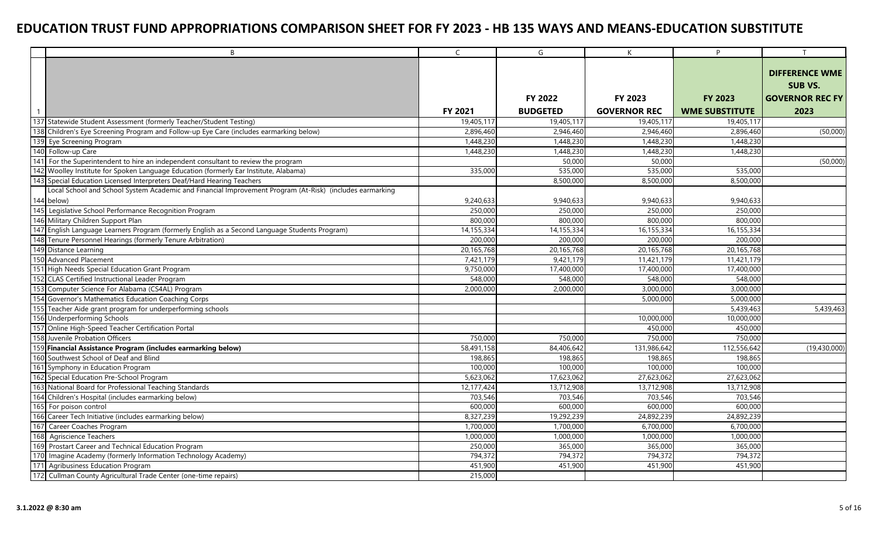|            | B                                                                                                        | $\mathsf{C}$ | G               | $\mathsf{K}$        | P                     | T                                       |
|------------|----------------------------------------------------------------------------------------------------------|--------------|-----------------|---------------------|-----------------------|-----------------------------------------|
|            |                                                                                                          |              |                 |                     |                       | <b>DIFFERENCE WME</b><br><b>SUB VS.</b> |
|            |                                                                                                          |              | <b>FY 2022</b>  | FY 2023             | <b>FY 2023</b>        | <b>GOVERNOR REC FY</b>                  |
|            |                                                                                                          | FY 2021      | <b>BUDGETED</b> | <b>GOVERNOR REC</b> | <b>WME SUBSTITUTE</b> | 2023                                    |
|            | 137 Statewide Student Assessment (formerly Teacher/Student Testing)                                      | 19,405,117   | 19,405,117      | 19,405,117          | 19,405,117            |                                         |
|            | 138 Children's Eye Screening Program and Follow-up Eye Care (includes earmarking below)                  | 2,896,460    | 2,946,460       | 2,946,460           | 2,896,460             | (50,000)                                |
| 139        | Eye Screening Program                                                                                    | 1,448,230    | 1,448,230       | 1,448,230           | 1,448,230             |                                         |
|            | 140 Follow-up Care                                                                                       | 1,448,230    | 1,448,230       | 1,448,230           | 1,448,230             |                                         |
|            | 141 For the Superintendent to hire an independent consultant to review the program                       |              | 50,000          | 50,000              |                       | (50,000)                                |
|            | 142 Woolley Institute for Spoken Language Education (formerly Ear Institute, Alabama)                    | 335,000      | 535,000         | 535,000             | 535,000               |                                         |
|            | 143 Special Education Licensed Interpreters Deaf/Hard Hearing Teachers                                   |              | 8,500,000       | 8,500,000           | 8,500,000             |                                         |
|            | Local School and School System Academic and Financial Improvement Program (At-Risk) (includes earmarking |              |                 |                     |                       |                                         |
|            | 144 below)                                                                                               | 9,240,633    | 9,940,633       | 9,940,633           | 9,940,633             |                                         |
| 145        | Legislative School Performance Recognition Program                                                       | 250,000      | 250,000         | 250,000             | 250,000               |                                         |
|            | 146 Military Children Support Plan                                                                       | 800,000      | 800,000         | 800,000             | 800,000               |                                         |
|            | 147 English Language Learners Program (formerly English as a Second Language Students Program)           | 14,155,334   | 14,155,334      | 16, 155, 334        | 16,155,334            |                                         |
|            | 148 Tenure Personnel Hearings (formerly Tenure Arbitration)                                              | 200,000      | 200,000         | 200,000             | 200,000               |                                         |
|            | 149 Distance Learning                                                                                    | 20,165,768   | 20,165,768      | 20, 165, 768        | 20,165,768            |                                         |
|            | 150 Advanced Placement                                                                                   | 7,421,179    | 9,421,179       | 11,421,179          | 11,421,179            |                                         |
|            | 151 High Needs Special Education Grant Program                                                           | 9,750,000    | 17,400,000      | 17,400,000          | 17,400,000            |                                         |
|            | 152 CLAS Certified Instructional Leader Program                                                          | 548,000      | 548,000         | 548,000             | 548,000               |                                         |
|            | 153 Computer Science For Alabama (CS4AL) Program                                                         | 2,000,000    | 2,000,000       | 3,000,000           | 3,000,000             |                                         |
| 154        | Governor's Mathematics Education Coaching Corps                                                          |              |                 | 5,000,000           | 5,000,000             |                                         |
|            | 155 Teacher Aide grant program for underperforming schools                                               |              |                 |                     | 5,439,463             | 5,439,463                               |
|            | 156 Underperforming Schools                                                                              |              |                 | 10,000,000          | 10,000,000            |                                         |
|            | 157 Online High-Speed Teacher Certification Portal                                                       |              |                 | 450,000             | 450,000               |                                         |
|            | 158 Juvenile Probation Officers                                                                          | 750,000      | 750,000         | 750,000             | 750,000               |                                         |
|            | 159 Financial Assistance Program (includes earmarking below)                                             | 58,491,158   | 84,406,642      | 131,986,642         | 112,556,642           | (19,430,000)                            |
|            | 160 Southwest School of Deaf and Blind                                                                   | 198,865      | 198,865         | 198,865             | 198,865               |                                         |
|            | 161 Symphony in Education Program                                                                        | 100,000      | 100,000         | 100,000             | 100,000               |                                         |
|            | 162 Special Education Pre-School Program                                                                 | 5,623,062    | 17,623,062      | 27,623,062          | 27,623,062            |                                         |
|            | 163 National Board for Professional Teaching Standards                                                   | 12,177,424   | 13,712,908      | 13,712,908          | 13,712,908            |                                         |
|            | 164 Children's Hospital (includes earmarking below)                                                      | 703,546      | 703,546         | 703,546             | 703,546               |                                         |
| 165        | For poison control                                                                                       | 600,000      | 600,000         | 600,000             | 600,000               |                                         |
|            | 166 Career Tech Initiative (includes earmarking below)                                                   | 8,327,239    | 19,292,239      | 24,892,239          | 24,892,239            |                                         |
| 167        | Career Coaches Program                                                                                   | 1,700,000    | 1,700,000       | 6,700,000           | 6,700,000             |                                         |
| 168        | <b>Agriscience Teachers</b>                                                                              | 1,000,000    | 1,000,000       | 1,000,000           | 1,000,000             |                                         |
| 169        | Prostart Career and Technical Education Program                                                          | 250,000      | 365,000         | 365,000             | 365,000               |                                         |
| <b>170</b> | Imagine Academy (formerly Information Technology Academy)                                                | 794,372      | 794,372         | 794,372             | 794,372               |                                         |
|            | 171 Agribusiness Education Program                                                                       | 451,900      | 451,900         | 451,900             | 451,900               |                                         |
|            | 172 Cullman County Agricultural Trade Center (one-time repairs)                                          | 215,000      |                 |                     |                       |                                         |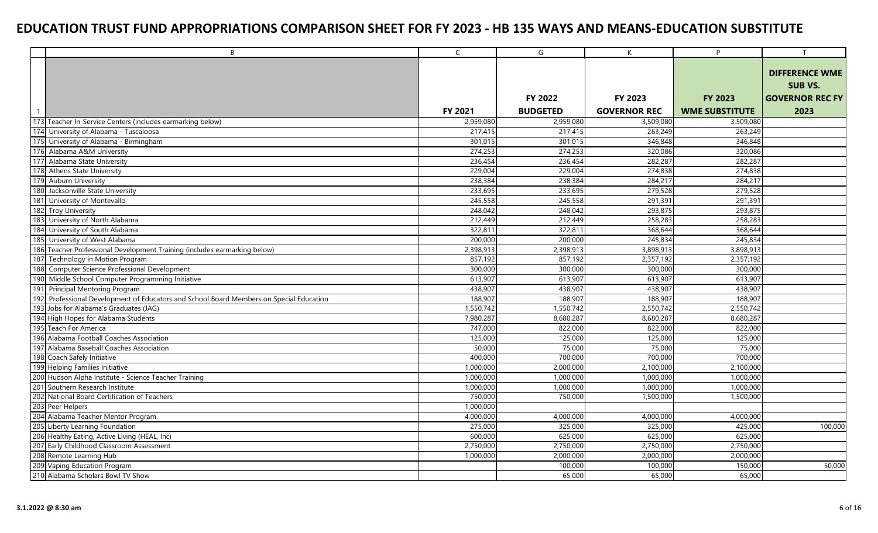|     | B                                                                                   | $\mathsf{C}$ | G               | K                   | P                     | T                      |
|-----|-------------------------------------------------------------------------------------|--------------|-----------------|---------------------|-----------------------|------------------------|
|     |                                                                                     |              |                 |                     |                       |                        |
|     |                                                                                     |              |                 |                     |                       | <b>DIFFERENCE WME</b>  |
|     |                                                                                     |              |                 |                     |                       | <b>SUB VS.</b>         |
|     |                                                                                     |              | FY 2022         | FY 2023             | <b>FY 2023</b>        | <b>GOVERNOR REC FY</b> |
|     |                                                                                     | FY 2021      | <b>BUDGETED</b> | <b>GOVERNOR REC</b> | <b>WME SUBSTITUTE</b> | 2023                   |
|     | 173 Teacher In-Service Centers (includes earmarking below)                          | 2,959,080    | 2,959,080       | 3,509,080           | 3,509,080             |                        |
| 174 | University of Alabama - Tuscaloosa                                                  | 217.415      | 217,415         | 263,249             | 263,249               |                        |
| 175 | University of Alabama - Birmingham                                                  | 301,015      | 301,015         | 346,848             | 346,848               |                        |
|     | 176 Alabama A&M University                                                          | 274,253      | 274,253         | 320,086             | 320,086               |                        |
| 177 | Alabama State University                                                            | 236,454      | 236,454         | 282,287             | 282,287               |                        |
| 178 | <b>Athens State University</b>                                                      | 229,004      | 229,004         | 274,838             | 274,838               |                        |
| 179 | <b>Auburn University</b>                                                            | 238,384      | 238,384         | 284,217             | 284,217               |                        |
| 180 | Jacksonville State University                                                       | 233,695      | 233,695         | 279,528             | 279,528               |                        |
|     | 181 University of Montevallo                                                        | 245,558      | 245,558         | 291,391             | 291,391               |                        |
|     | 182 Troy University                                                                 | 248,042      | 248,042         | 293,875             | 293,875               |                        |
|     | 183 University of North Alabama                                                     | 212,449      | 212,449         | 258,283             | 258,283               |                        |
|     | 184 University of South Alabama                                                     | 322.811      | 322,811         | 368,644             | 368,644               |                        |
| 185 | University of West Alabama                                                          | 200,000      | 200,000         | 245,834             | 245,834               |                        |
|     | 186 Teacher Professional Development Training (includes earmarking below)           | 2,398,913    | 2,398,913       | 3,898,913           | 3,898,913             |                        |
|     | 187 Technology in Motion Program                                                    | 857,192      | 857,192         | 2,357,192           | 2,357,192             |                        |
| 188 | Computer Science Professional Development                                           | 300,000      | 300,000         | 300,000             | 300,000               |                        |
|     | 190 Middle School Computer Programming Initiative                                   | 613,907      | 613,907         | 613,907             | 613,907               |                        |
|     | 191 Principal Mentoring Program                                                     | 438,907      | 438,907         | 438,907             | 438,907               |                        |
| 192 | Professional Development of Educators and School Board Members on Special Education | 188,907      | 188,907         | 188,907             | 188,907               |                        |
|     | 193 Jobs for Alabama's Graduates (JAG)                                              | 1,550,742    | 1,550,742       | 2,550,742           | 2,550,742             |                        |
|     | 194 High Hopes for Alabama Students                                                 | 7,980,287    | 8,680,287       | 8,680,287           | 8,680,287             |                        |
|     | 195 Teach For America                                                               | 747,000      | 822,000         | 822,000             | 822,000               |                        |
|     | 196 Alabama Football Coaches Association                                            | 125,000      | 125,000         | 125,000             | 125,000               |                        |
|     | 197 Alabama Baseball Coaches Association                                            | 50,000       | 75,000          | 75,000              | 75,000                |                        |
|     | 198 Coach Safely Initiative                                                         | 400,000      | 700,000         | 700,000             | 700,000               |                        |
|     | 199 Helping Families Initiative                                                     | 1,000,000    | 2,000,000       | 2,100,000           | 2,100,000             |                        |
|     | 200 Hudson Alpha Institute - Science Teacher Training                               | 1,000,000    | 1,000,000       | 1,000,000           | 1,000,000             |                        |
|     | 201 Southern Research Institute                                                     | 1,000,000    | 1,000,000       | 1,000,000           | 1,000,000             |                        |
|     | 202 National Board Certification of Teachers                                        | 750,000      | 750,000         | 1,500,000           | 1,500,000             |                        |
|     | 203 Peer Helpers                                                                    | 1,000,000    |                 |                     |                       |                        |
|     | 204 Alabama Teacher Mentor Program                                                  | 4,000,000    | 4,000,000       | 4,000,000           | 4,000,000             |                        |
|     | 205 Liberty Learning Foundation                                                     | 275,000      | 325,000         | 325,000             | 425,000               | 100,000                |
|     | 206 Healthy Eating, Active Living (HEAL, Inc)                                       | 600,000      | 625,000         | 625,000             | 625,000               |                        |
|     | 207 Early Childhood Classroom Assessment                                            | 2,750,000    | 2,750,000       | 2,750,000           | 2,750,000             |                        |
|     | 208 Remote Learning Hub                                                             | 1,000,000    | 2,000,000       | 2,000,000           | 2,000,000             |                        |
|     | 209 Vaping Education Program                                                        |              | 100,000         | 100,000             | 150,000               | 50,000                 |
|     | 210 Alabama Scholars Bowl TV Show                                                   |              | 65,000          | 65,000              | 65,000                |                        |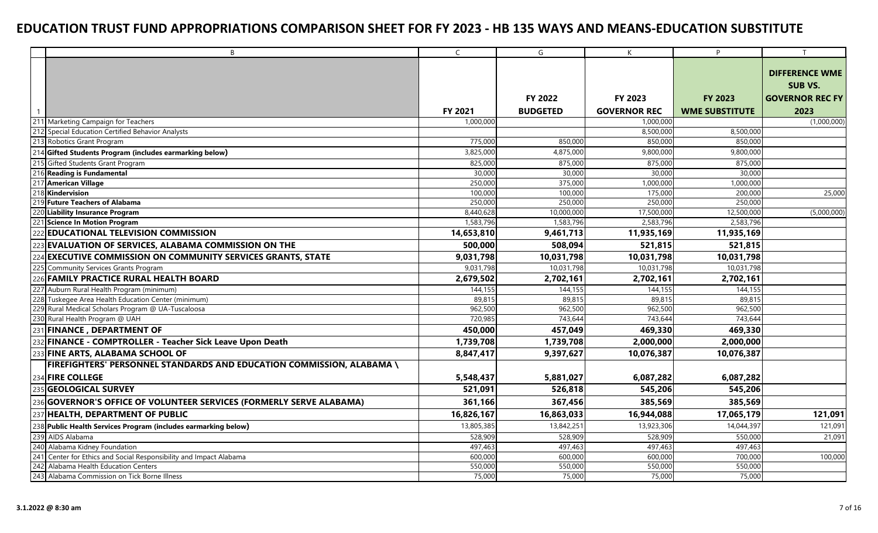|                | B                                                                                    | $\mathsf{C}$ | G               | $\mathsf{K}$           | P                     |                                                                   |
|----------------|--------------------------------------------------------------------------------------|--------------|-----------------|------------------------|-----------------------|-------------------------------------------------------------------|
|                |                                                                                      |              | <b>FY 2022</b>  | FY 2023                | <b>FY 2023</b>        | <b>DIFFERENCE WME</b><br><b>SUB VS.</b><br><b>GOVERNOR REC FY</b> |
|                |                                                                                      |              |                 |                        |                       |                                                                   |
|                |                                                                                      | FY 2021      | <b>BUDGETED</b> | <b>GOVERNOR REC</b>    | <b>WME SUBSTITUTE</b> | 2023<br>(1,000,000)                                               |
|                | 211 Marketing Campaign for Teachers<br>Special Education Certified Behavior Analysts | 1,000,000    |                 | 1,000,000<br>8,500,000 | 8,500,000             |                                                                   |
|                | Robotics Grant Program                                                               | 775,000      | 850,000         | 850,000                | 850,000               |                                                                   |
|                | Gifted Students Program (includes earmarking below)                                  | 3,825,000    | 4,875,000       | 9,800,000              | 9,800,000             |                                                                   |
|                | Gifted Students Grant Program                                                        | 825,000      | 875,000         | 875,000                | 875,000               |                                                                   |
|                | <b>Reading is Fundamental</b>                                                        | 30,000       | 30,000          | 30,000                 | 30,000                |                                                                   |
|                | <b>American Village</b>                                                              | 250,000      | 375,000         | 1,000,000              | 1,000,000             |                                                                   |
|                | Kindervision                                                                         | 100,000      | 100,000         | 175,000                | 200,000               | 25,000                                                            |
|                | <b>Future Teachers of Alabama</b>                                                    | 250,000      | 250,000         | 250,000                | 250,000               |                                                                   |
|                | Liability Insurance Program                                                          | 8,440,628    | 10,000,000      | 17,500,000             | 12,500,000            | (5,000,000)                                                       |
|                | Science In Motion Program                                                            | 1,583,796    | 1,583,796       | 2,583,796              | 2,583,796             |                                                                   |
|                | <b>EDUCATIONAL TELEVISION COMMISSION</b>                                             | 14,653,810   | 9,461,713       | 11,935,169             | 11,935,169            |                                                                   |
|                | <b>EVALUATION OF SERVICES, ALABAMA COMMISSION ON THE</b>                             | 500,000      | 508,094         | 521,815                | 521,815               |                                                                   |
|                | <b>EXECUTIVE COMMISSION ON COMMUNITY SERVICES GRANTS, STATE</b>                      | 9,031,798    | 10,031,798      | 10,031,798             | 10,031,798            |                                                                   |
|                | <b>Community Services Grants Program</b>                                             | 9,031,798    | 10,031,798      | 10,031,798             | 10,031,798            |                                                                   |
|                | <b>FAMILY PRACTICE RURAL HEALTH BOARD</b>                                            | 2,679,502    | 2,702,161       | 2,702,161              | 2,702,161             |                                                                   |
| $22^{\degree}$ | Auburn Rural Health Program (minimum)                                                | 144,155      | 144,155         | 144,155                | 144,155               |                                                                   |
| 228            | Tuskegee Area Health Education Center (minimum)                                      | 89,815       | 89,815          | 89,815                 | 89,815                |                                                                   |
|                | 229 Rural Medical Scholars Program @ UA-Tuscaloosa                                   | 962,500      | 962,500         | 962,500                | 962,500               |                                                                   |
|                | 230 Rural Health Program @ UAH                                                       | 720,985      | 743,644         | 743,644                | 743,644               |                                                                   |
|                | <b>FINANCE, DEPARTMENT OF</b>                                                        | 450,000      | 457,049         | 469,330                | 469,330               |                                                                   |
|                | FINANCE - COMPTROLLER - Teacher Sick Leave Upon Death                                | 1,739,708    | 1,739,708       | 2,000,000              | 2,000,000             |                                                                   |
|                | <b>FINE ARTS, ALABAMA SCHOOL OF</b>                                                  | 8,847,417    | 9,397,627       | 10,076,387             | 10,076,387            |                                                                   |
|                | FIREFIGHTERS' PERSONNEL STANDARDS AND EDUCATION COMMISSION, ALABAMA \                |              |                 |                        |                       |                                                                   |
| 234            | <b>FIRE COLLEGE</b>                                                                  | 5,548,437    | 5,881,027       | 6,087,282              | 6,087,282             |                                                                   |
|                | <b>GEOLOGICAL SURVEY</b>                                                             | 521,091      | 526,818         | 545,206                | 545,206               |                                                                   |
| 236            | GOVERNOR'S OFFICE OF VOLUNTEER SERVICES (FORMERLY SERVE ALABAMA)                     | 361,166      | 367,456         | 385,569                | 385,569               |                                                                   |
|                | <b>HEALTH, DEPARTMENT OF PUBLIC</b>                                                  | 16,826,167   | 16,863,033      | 16,944,088             | 17,065,179            | 121,091                                                           |
| 238            | Public Health Services Program (includes earmarking below)                           | 13,805,385   | 13,842,251      | 13,923,306             | 14,044,397            | 121,091                                                           |
|                | AIDS Alabama                                                                         | 528,909      | 528,909         | 528,909                | 550,000               | 21,091                                                            |
| 240            | Alabama Kidney Foundation                                                            | 497,463      | 497,463         | 497,463                | 497,463               |                                                                   |
| 241            | Center for Ethics and Social Responsibility and Impact Alabama                       | 600,000      | 600,000         | 600,000                | 700,000               | 100,000                                                           |
| 242            | Alabama Health Education Centers                                                     | 550,000      | 550,000         | 550,000                | 550,000               |                                                                   |
|                | 243 Alabama Commission on Tick Borne Illness                                         | 75,000       | 75,000          | 75,000                 | 75,000                |                                                                   |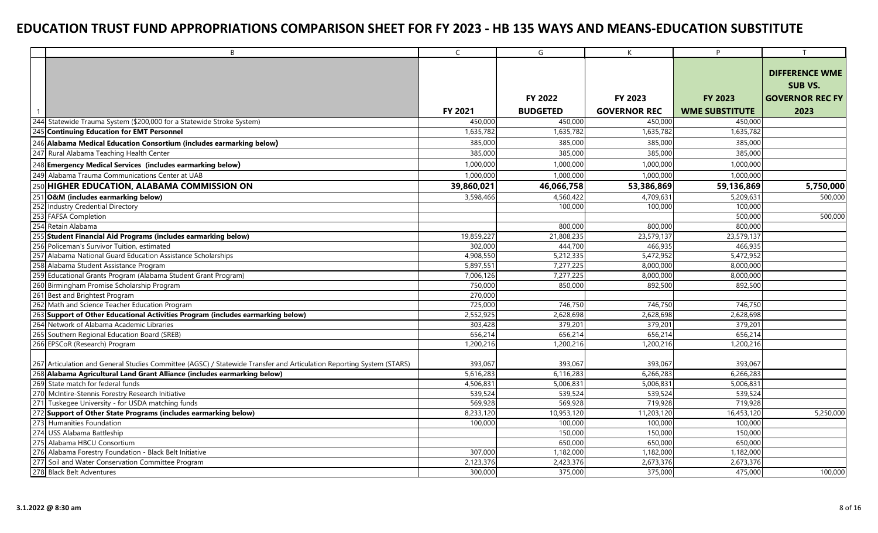|     | B                                                                                                                    | $\mathsf{C}$ | G               | $\mathsf{K}$        | P                     | T                      |
|-----|----------------------------------------------------------------------------------------------------------------------|--------------|-----------------|---------------------|-----------------------|------------------------|
|     |                                                                                                                      |              |                 |                     |                       | <b>DIFFERENCE WME</b>  |
|     |                                                                                                                      |              |                 |                     |                       | <b>SUB VS.</b>         |
|     |                                                                                                                      |              |                 |                     |                       |                        |
|     |                                                                                                                      |              | <b>FY 2022</b>  | FY 2023             | <b>FY 2023</b>        | <b>GOVERNOR REC FY</b> |
|     |                                                                                                                      | FY 2021      | <b>BUDGETED</b> | <b>GOVERNOR REC</b> | <b>WME SUBSTITUTE</b> | 2023                   |
| 244 | Statewide Trauma System (\$200,000 for a Statewide Stroke System)                                                    | 450,000      | 450,000         | 450,000             | 450,000               |                        |
| 245 | <b>Continuing Education for EMT Personnel</b>                                                                        | 1,635,782    | 1,635,782       | 1,635,782           | 1,635,782             |                        |
|     | 246 Alabama Medical Education Consortium (includes earmarking below)                                                 | 385,000      | 385,000         | 385,000             | 385,000               |                        |
|     | 247 Rural Alabama Teaching Health Center                                                                             | 385,000      | 385,000         | 385,000             | 385,000               |                        |
|     | 248 Emergency Medical Services (includes earmarking below)                                                           | 1,000,000    | 1,000,000       | 1,000,000           | 1,000,000             |                        |
|     | 249 Alabama Trauma Communications Center at UAB                                                                      | 1,000,000    | 1,000,000       | 1,000,000           | 1,000,000             |                        |
|     | <b>HIGHER EDUCATION, ALABAMA COMMISSION ON</b>                                                                       | 39,860,021   | 46,066,758      | 53,386,869          | 59,136,869            | 5,750,000              |
|     | <b>O&amp;M</b> (includes earmarking below)                                                                           | 3,598,466    | 4,560,422       | 4,709,631           | 5,209,631             | 500,000                |
| 252 | Industry Credential Directory                                                                                        |              | 100,000         | 100,000             | 100,000               |                        |
| 253 | <b>FAFSA Completion</b>                                                                                              |              |                 |                     | 500,000               | 500,000                |
|     | Retain Alabama                                                                                                       |              | 800,000         | 800,000             | 800,000               |                        |
|     | Student Financial Aid Programs (includes earmarking below)                                                           | 19,859,227   | 21,808,235      | 23,579,137          | 23,579,137            |                        |
|     | Policeman's Survivor Tuition, estimated                                                                              | 302,000      | 444,700         | 466,935             | 466,935               |                        |
|     | Alabama National Guard Education Assistance Scholarships                                                             | 4,908,550    | 5,212,335       | 5,472,952           | 5,472,952             |                        |
|     | 258 Alabama Student Assistance Program                                                                               | 5,897,551    | 7,277,225       | 8,000,000           | 8,000,000             |                        |
|     | 259 Educational Grants Program (Alabama Student Grant Program)                                                       | 7,006,126    | 7,277,225       | 8,000,000           | 8,000,000             |                        |
|     | 260 Birmingham Promise Scholarship Program                                                                           | 750,000      | 850,000         | 892,500             | 892,500               |                        |
|     | 261 Best and Brightest Program                                                                                       | 270,000      |                 |                     |                       |                        |
|     | 262 Math and Science Teacher Education Program                                                                       | 725,000      | 746,750         | 746,750             | 746,750               |                        |
| 263 | Support of Other Educational Activities Program (includes earmarking below)                                          | 2,552,925    | 2,628,698       | 2,628,698           | 2,628,698             |                        |
|     | 264 Network of Alabama Academic Libraries                                                                            | 303,428      | 379,201         | 379,201             | 379,201               |                        |
|     | 265 Southern Regional Education Board (SREB)                                                                         | 656,214      | 656,214         | 656,214             | 656,214               |                        |
|     | 266 EPSCoR (Research) Program                                                                                        | 1,200,216    | 1,200,216       | 1,200,216           | 1,200,216             |                        |
|     |                                                                                                                      |              |                 |                     |                       |                        |
|     | 267 Articulation and General Studies Committee (AGSC) / Statewide Transfer and Articulation Reporting System (STARS) | 393,067      | 393,067         | 393,067             | 393,067               |                        |
|     | 268 Alabama Agricultural Land Grant Alliance (includes earmarking below)                                             | 5,616,283    | 6,116,283       | 6,266,283           | 6,266,283             |                        |
|     | 269 State match for federal funds                                                                                    | 4,506,83     | 5,006,831       | 5,006,831           | 5,006,831             |                        |
|     | 270 McIntire-Stennis Forestry Research Initiative                                                                    | 539,524      | 539,524         | 539,524             | 539,524               |                        |
|     | Tuskegee University - for USDA matching funds                                                                        | 569,928      | 569,928         | 719,928             | 719,928               |                        |
|     | Support of Other State Programs (includes earmarking below)                                                          | 8,233,120    | 10,953,120      | 11,203,120          | 16,453,120            | 5,250,000              |
| 273 | Humanities Foundation                                                                                                | 100,000      | 100,000         | 100,000             | 100,000               |                        |
| 274 | USS Alabama Battleship                                                                                               |              | 150,000         | 150,000             | 150,000               |                        |
| 275 | Alabama HBCU Consortium                                                                                              |              | 650,000         | 650,000             | 650,000               |                        |
| 276 | Alabama Forestry Foundation - Black Belt Initiative                                                                  | 307,000      | 1,182,000       | 1,182,000           | 1,182,000             |                        |
| 277 | Soil and Water Conservation Committee Program                                                                        | 2,123,376    | 2,423,376       | 2,673,376           | 2,673,376             |                        |
|     | 278 Black Belt Adventures                                                                                            | 300,000      | 375,000         | 375,000             | 475,000               | 100,000                |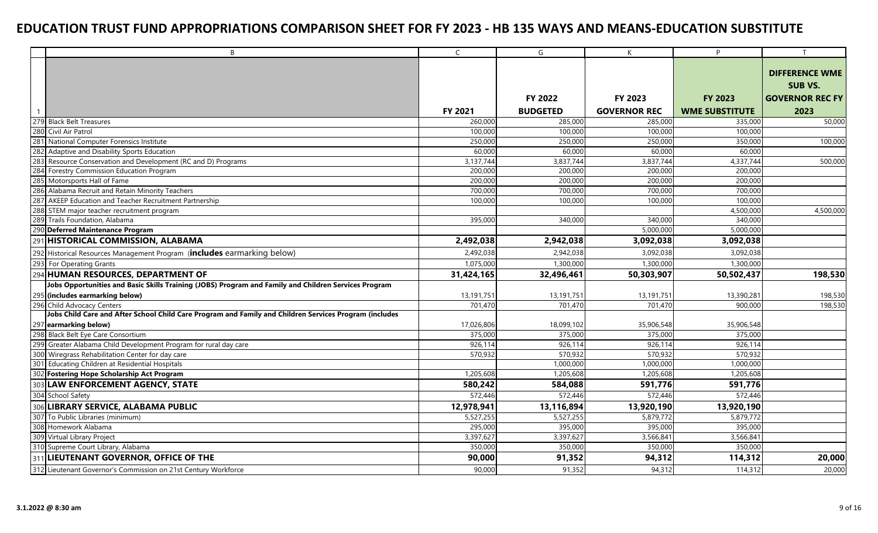|     | B <sub>1</sub>                                                                                         | $\mathsf{C}$ | G               | K                   | P                     | T                      |
|-----|--------------------------------------------------------------------------------------------------------|--------------|-----------------|---------------------|-----------------------|------------------------|
|     |                                                                                                        |              |                 |                     |                       |                        |
|     |                                                                                                        |              |                 |                     |                       | <b>DIFFERENCE WME</b>  |
|     |                                                                                                        |              |                 |                     |                       | <b>SUB VS.</b>         |
|     |                                                                                                        |              | FY 2022         | FY 2023             | <b>FY 2023</b>        | <b>GOVERNOR REC FY</b> |
|     |                                                                                                        | FY 2021      | <b>BUDGETED</b> | <b>GOVERNOR REC</b> | <b>WME SUBSTITUTE</b> | 2023                   |
|     | 279 Black Belt Treasures                                                                               | 260,000      | 285,000         | 285,000             | 335,000               | 50,000                 |
| 280 | Civil Air Patrol                                                                                       | 100,000      | 100,000         | 100,000             | 100,000               |                        |
|     | 281 National Computer Forensics Institute                                                              | 250,000      | 250,000         | 250,000             | 350,000               | 100,000                |
| 282 | Adaptive and Disability Sports Education                                                               | 60,000       | 60,000          | 60,000              | 60,000                |                        |
| 283 | Resource Conservation and Development (RC and D) Programs                                              | 3,137,744    | 3,837,744       | 3,837,744           | 4,337,744             | 500,000                |
| 284 | Forestry Commission Education Program                                                                  | 200,000      | 200,000         | 200,000             | 200,000               |                        |
|     | 285 Motorsports Hall of Fame                                                                           | 200,000      | 200,000         | 200,000             | 200,000               |                        |
| 286 | Alabama Recruit and Retain Minority Teachers                                                           | 700,000      | 700,000         | 700,000             | 700,000               |                        |
| 287 | AKEEP Education and Teacher Recruitment Partnership                                                    | 100,000      | 100,000         | 100,000             | 100,000               |                        |
|     | 288 STEM major teacher recruitment program                                                             |              |                 |                     | 4,500,000             | 4,500,000              |
| 289 | Trails Foundation, Alabama                                                                             | 395,000      | 340,000         | 340,000             | 340,000               |                        |
| 290 | <b>Deferred Maintenance Program</b>                                                                    |              |                 | 5,000,000           | 5,000,000             |                        |
|     | 291 HISTORICAL COMMISSION, ALABAMA                                                                     | 2,492,038    | 2,942,038       | 3,092,038           | 3,092,038             |                        |
| 292 | Historical Resources Management Program (includes earmarking below)                                    | 2,492,038    | 2,942,038       | 3,092,038           | 3,092,038             |                        |
| 293 | For Operating Grants                                                                                   | 1,075,000    | 1,300,000       | 1,300,000           | 1,300,000             |                        |
|     | 294 HUMAN RESOURCES, DEPARTMENT OF                                                                     | 31,424,165   | 32,496,461      | 50,303,907          | 50,502,437            | 198,530                |
|     | Jobs Opportunities and Basic Skills Training (JOBS) Program and Family and Children Services Program   |              |                 |                     |                       |                        |
|     | 295 (includes earmarking below)                                                                        | 13,191,751   | 13,191,751      | 13,191,751          | 13,390,281            | 198,530                |
|     | 296 Child Advocacy Centers                                                                             | 701.470      | 701.470         | 701,470             | 900,000               | 198,530                |
|     | Jobs Child Care and After School Child Care Program and Family and Children Services Program (includes |              |                 |                     |                       |                        |
|     | 297 earmarking below)                                                                                  | 17,026,806   | 18,099,102      | 35,906,548          | 35,906,548            |                        |
|     | 298 Black Belt Eye Care Consortium                                                                     | 375,000      | 375,000         | 375,000             | 375,000               |                        |
| 299 | Greater Alabama Child Development Program for rural day care                                           | 926,114      | 926,114         | 926,114             | 926,114               |                        |
|     | 300 Wiregrass Rehabilitation Center for day care                                                       | 570,932      | 570,932         | 570,932             | 570,932               |                        |
|     | 301 Educating Children at Residential Hospitals                                                        |              | 1,000,000       | 1,000,000           | 1,000,000             |                        |
|     | 302 Fostering Hope Scholarship Act Program                                                             | 1,205,608    | 1,205,608       | 1,205,608           | 1,205,608             |                        |
| 303 | <b>LAW ENFORCEMENT AGENCY, STATE</b>                                                                   | 580,242      | 584,088         | 591,776             | 591,776               |                        |
|     | 304 School Safety                                                                                      | 572,446      | 572,446         | 572,446             | 572,446               |                        |
|     | 306 LIBRARY SERVICE, ALABAMA PUBLIC                                                                    | 12,978,941   | 13,116,894      | 13,920,190          | 13,920,190            |                        |
|     | 307 To Public Libraries (minimum)                                                                      | 5,527,255    | 5,527,255       | 5,879,772           | 5,879,772             |                        |
|     | 308 Homework Alabama                                                                                   | 295,000      | 395,000         | 395,000             | 395,000               |                        |
|     | 309 Virtual Library Project                                                                            | 3,397,627    | 3,397,627       | 3,566,841           | 3,566,841             |                        |
|     | 310 Supreme Court Library, Alabama                                                                     | 350,000      | 350,000         | 350,000             | 350,000               |                        |
|     | 311 LIEUTENANT GOVERNOR, OFFICE OF THE                                                                 | 90,000       | 91,352          | 94,312              | 114,312               | 20,000                 |
|     | 312 Lieutenant Governor's Commission on 21st Century Workforce                                         | 90,000       | 91,352          | 94,312              | 114,312               | 20,000                 |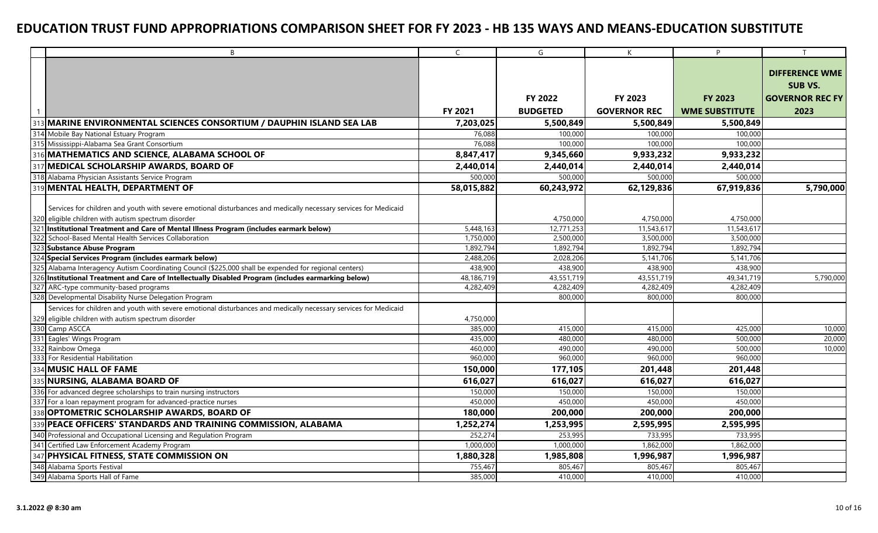|     | B                                                                                                                | $\mathsf{C}$ | G               | K                   | P                     |                        |
|-----|------------------------------------------------------------------------------------------------------------------|--------------|-----------------|---------------------|-----------------------|------------------------|
|     |                                                                                                                  |              |                 |                     |                       |                        |
|     |                                                                                                                  |              |                 |                     |                       | <b>DIFFERENCE WME</b>  |
|     |                                                                                                                  |              |                 |                     |                       | <b>SUB VS.</b>         |
|     |                                                                                                                  |              | FY 2022         | FY 2023             | <b>FY 2023</b>        | <b>GOVERNOR REC FY</b> |
|     |                                                                                                                  | FY 2021      | <b>BUDGETED</b> | <b>GOVERNOR REC</b> | <b>WME SUBSTITUTE</b> | 2023                   |
|     | MARINE ENVIRONMENTAL SCIENCES CONSORTIUM / DAUPHIN ISLAND SEA LAB                                                | 7,203,025    | 5,500,849       | 5,500,849           | 5,500,849             |                        |
|     | 314 Mobile Bay National Estuary Program                                                                          | 76,088       | 100,000         | 100,000             | 100,000               |                        |
|     | 315 Mississippi-Alabama Sea Grant Consortium                                                                     | 76,088       | 100,000         | 100,000             | 100,000               |                        |
|     | 316 MATHEMATICS AND SCIENCE, ALABAMA SCHOOL OF                                                                   | 8,847,417    | 9,345,660       | 9,933,232           | 9,933,232             |                        |
|     | 317 MEDICAL SCHOLARSHIP AWARDS, BOARD OF                                                                         | 2,440,014    | 2,440,014       | 2,440,014           | 2,440,014             |                        |
|     | 318 Alabama Physician Assistants Service Program                                                                 | 500,000      | 500,000         | 500,000             | 500,000               |                        |
|     | 319 MENTAL HEALTH, DEPARTMENT OF                                                                                 | 58,015,882   | 60,243,972      | 62,129,836          | 67,919,836            | 5,790,000              |
|     |                                                                                                                  |              |                 |                     |                       |                        |
|     | Services for children and youth with severe emotional disturbances and medically necessary services for Medicaid |              |                 |                     |                       |                        |
|     | 320 eligible children with autism spectrum disorder                                                              |              | 4,750,000       | 4,750,000           | 4,750,000             |                        |
|     | 321 Institutional Treatment and Care of Mental Illness Program (includes earmark below)                          | 5,448,163    | 12,771,253      | 11,543,617          | 11,543,617            |                        |
| 322 | School-Based Mental Health Services Collaboration                                                                | 1,750,000    | 2,500,000       | 3,500,000           | 3,500,000             |                        |
| 323 | Substance Abuse Program                                                                                          | 1,892,794    | 1,892,794       | 1,892,794           | 1,892,794             |                        |
|     | 324 Special Services Program (includes earmark below)                                                            | 2,488,206    | 2,028,206       | 5,141,706           | 5,141,706             |                        |
|     | Alabama Interagency Autism Coordinating Council (\$225,000 shall be expended for regional centers)               | 438,900      | 438,900         | 438,900             | 438,900               |                        |
| 326 | Institutional Treatment and Care of Intellectually Disabled Program (includes earmarking below)                  | 48,186,719   | 43,551,719      | 43,551,719          | 49,341,719            | 5,790,000              |
| 327 | ARC-type community-based programs                                                                                | 4,282,409    | 4,282,409       | 4,282,409           | 4,282,409             |                        |
|     | 328 Developmental Disability Nurse Delegation Program                                                            |              | 800,000         | 800,000             | 800,000               |                        |
|     | Services for children and youth with severe emotional disturbances and medically necessary services for Medicaid |              |                 |                     |                       |                        |
| 329 | eligible children with autism spectrum disorder                                                                  | 4,750,000    |                 |                     |                       |                        |
|     | 330 Camp ASCCA                                                                                                   | 385,000      | 415,000         | 415,000             | 425,000               | 10,000                 |
|     | 331 Eagles' Wings Program                                                                                        | 435,000      | 480,000         | 480,000             | 500,000               | 20,000                 |
|     | 332 Rainbow Omega                                                                                                | 460,000      | 490,000         | 490,000             | 500,000               | 10,000                 |
| 333 | For Residential Habilitation                                                                                     | 960,000      | 960,000         | 960,000             | 960,000               |                        |
|     | <b>MUSIC HALL OF FAME</b>                                                                                        | 150,000      | 177,105         | 201,448             | 201,448               |                        |
|     | <b>NURSING, ALABAMA BOARD OF</b>                                                                                 | 616,027      | 616,027         | 616,027             | 616,027               |                        |
|     | 336 For advanced degree scholarships to train nursing instructors                                                | 150,000      | 150,000         | 150,000             | 150,000               |                        |
|     | 337 For a loan repayment program for advanced-practice nurses                                                    | 450,000      | 450,000         | 450,000             | 450,000               |                        |
|     | 338 OPTOMETRIC SCHOLARSHIP AWARDS, BOARD OF                                                                      | 180,000      | 200,000         | 200,000             | 200,000               |                        |
|     | 339 PEACE OFFICERS' STANDARDS AND TRAINING COMMISSION, ALABAMA                                                   | 1,252,274    | 1,253,995       | 2,595,995           | 2,595,995             |                        |
|     | 340 Professional and Occupational Licensing and Regulation Program                                               | 252,274      | 253,995         | 733,995             | 733,995               |                        |
|     | 341 Certified Law Enforcement Academy Program                                                                    | 1,000,000    | 1,000,000       | 1,862,000           | 1,862,000             |                        |
|     | 347 PHYSICAL FITNESS, STATE COMMISSION ON                                                                        | 1,880,328    | 1,985,808       | 1,996,987           | 1,996,987             |                        |
|     | 348 Alabama Sports Festival                                                                                      | 755,467      | 805,467         | 805,467             | 805,467               |                        |
|     | 349 Alabama Sports Hall of Fame                                                                                  | 385,000      | 410,000         | 410,000             | 410,000               |                        |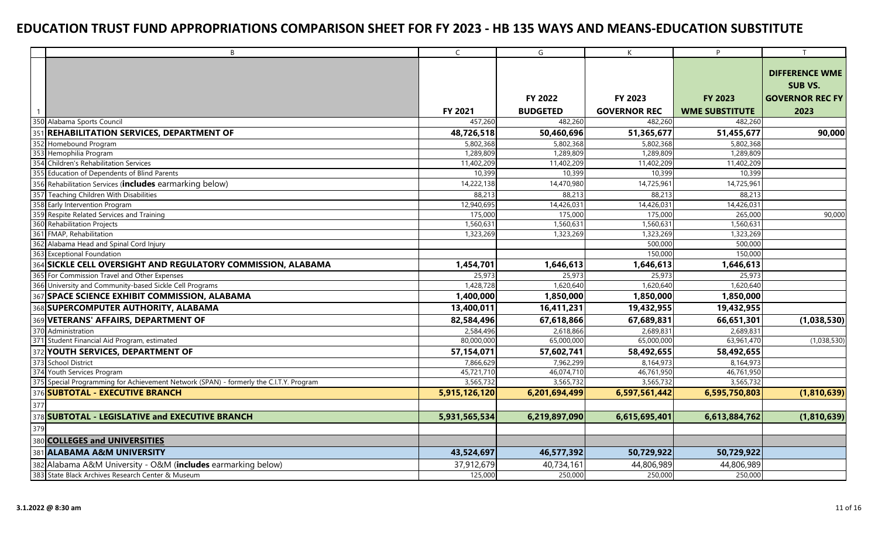| B                                                                                      | $\mathsf{C}$            | G                       | K                       | P                       |                                                                   |
|----------------------------------------------------------------------------------------|-------------------------|-------------------------|-------------------------|-------------------------|-------------------------------------------------------------------|
|                                                                                        |                         | FY 2022                 | FY 2023                 | <b>FY 2023</b>          | <b>DIFFERENCE WME</b><br><b>SUB VS.</b><br><b>GOVERNOR REC FY</b> |
|                                                                                        |                         |                         |                         |                         |                                                                   |
|                                                                                        | FY 2021                 | <b>BUDGETED</b>         | <b>GOVERNOR REC</b>     | <b>WME SUBSTITUTE</b>   | 2023                                                              |
| 350 Alabama Sports Council                                                             | 457.260                 | 482,260                 | 482,260                 | 482,260                 |                                                                   |
| <b>REHABILITATION SERVICES, DEPARTMENT OF</b><br>351                                   | 48,726,518              | 50,460,696              | 51,365,677              | 51,455,677              | 90,000                                                            |
| 352 Homebound Program                                                                  | 5,802,368               | 5,802,368               | 5,802,368               | 5,802,368               |                                                                   |
| 353 Hemophilia Program<br>354 Children's Rehabilitation Services                       | 1,289,809<br>11,402,209 | 1,289,809<br>11,402,209 | 1,289,809<br>11,402,209 | 1,289,809<br>11,402,209 |                                                                   |
| 355 Education of Dependents of Blind Parents                                           | 10,399                  | 10,399                  | 10,399                  | 10,399                  |                                                                   |
| 356 Rehabilitation Services (includes earmarking below)                                | 14,222,138              | 14,470,980              | 14,725,961              | 14,725,961              |                                                                   |
| 357 Teaching Children With Disabilities                                                | 88,213                  | 88,213                  | 88,213                  | 88,213                  |                                                                   |
| 358 Early Intervention Program                                                         | 12,940,695              | 14,426,031              | 14,426,031              | 14,426,031              |                                                                   |
| 359 Respite Related Services and Training                                              | 175,000                 | 175,000                 | 175,000                 | 265,000                 | 90,000                                                            |
| 360 Rehabilitation Projects                                                            | 1,560,631               | 1,560,631               | 1,560,631               | 1,560,631               |                                                                   |
| 361 FMAP, Rehabilitation                                                               | 1,323,269               | 1,323,269               | 1,323,269               | 1,323,269               |                                                                   |
| 362 Alabama Head and Spinal Cord Injury                                                |                         |                         | 500,000                 | 500,000                 |                                                                   |
| 363 Exceptional Foundation                                                             |                         |                         | 150,000                 | 150,000                 |                                                                   |
| SICKLE CELL OVERSIGHT AND REGULATORY COMMISSION, ALABAMA<br>364                        | 1,454,701               | 1,646,613               | 1,646,613               | 1,646,613               |                                                                   |
| 365<br>For Commission Travel and Other Expenses                                        | 25,973                  | 25,973                  | 25,973                  | 25,973                  |                                                                   |
| 366 University and Community-based Sickle Cell Programs                                | 1,428,728               | 1,620,640               | 1,620,640               | 1,620,640               |                                                                   |
| 367 SPACE SCIENCE EXHIBIT COMMISSION, ALABAMA                                          | 1,400,000               | 1,850,000               | 1,850,000               | 1,850,000               |                                                                   |
| 368 SUPERCOMPUTER AUTHORITY, ALABAMA                                                   | 13,400,011              | 16,411,231              | 19,432,955              | 19,432,955              |                                                                   |
| VETERANS' AFFAIRS, DEPARTMENT OF<br>369                                                | 82,584,496              | 67,618,866              | 67,689,831              | 66,651,301              | (1,038,530)                                                       |
| 370 Administration                                                                     | 2,584,496               | 2,618,866               | 2,689,831               | 2,689,831               |                                                                   |
| 371 Student Financial Aid Program, estimated                                           | 80,000,000              | 65,000,000              | 65,000,000              | 63,961,470              | (1,038,530)                                                       |
| 372 YOUTH SERVICES, DEPARTMENT OF                                                      | 57,154,071              | 57,602,741              | 58,492,655              | 58,492,655              |                                                                   |
| 373 School District                                                                    | 7,866,629               | 7,962,299               | 8,164,973               | 8,164,973               |                                                                   |
| 374<br>Youth Services Program                                                          | 45,721,710              | 46,074,710              | 46,761,950              | 46,761,950              |                                                                   |
| 375 Special Programming for Achievement Network (SPAN) - formerly the C.I.T.Y. Program | 3,565,732               | 3,565,732               | 3,565,732               | 3,565,732               |                                                                   |
| 376 SUBTOTAL - EXECUTIVE BRANCH                                                        | 5,915,126,120           | 6,201,694,499           | 6,597,561,442           | 6,595,750,803           | (1,810,639)                                                       |
| 377                                                                                    |                         |                         |                         |                         |                                                                   |
| 378 SUBTOTAL - LEGISLATIVE and EXECUTIVE BRANCH                                        | 5,931,565,534           | 6,219,897,090           | 6,615,695,401           | 6,613,884,762           | (1,810,639)                                                       |
| 379                                                                                    |                         |                         |                         |                         |                                                                   |
| 380 COLLEGES and UNIVERSITIES                                                          |                         |                         |                         |                         |                                                                   |
| 381 ALABAMA A&M UNIVERSITY                                                             | 43,524,697              | 46,577,392              | 50,729,922              | 50,729,922              |                                                                   |
| 382 Alabama A&M University - O&M (includes earmarking below)                           | 37,912,679              | 40,734,161              | 44,806,989              | 44,806,989              |                                                                   |
| 383 State Black Archives Research Center & Museum                                      | 125,000                 | 250,000                 | 250,000                 | 250,000                 |                                                                   |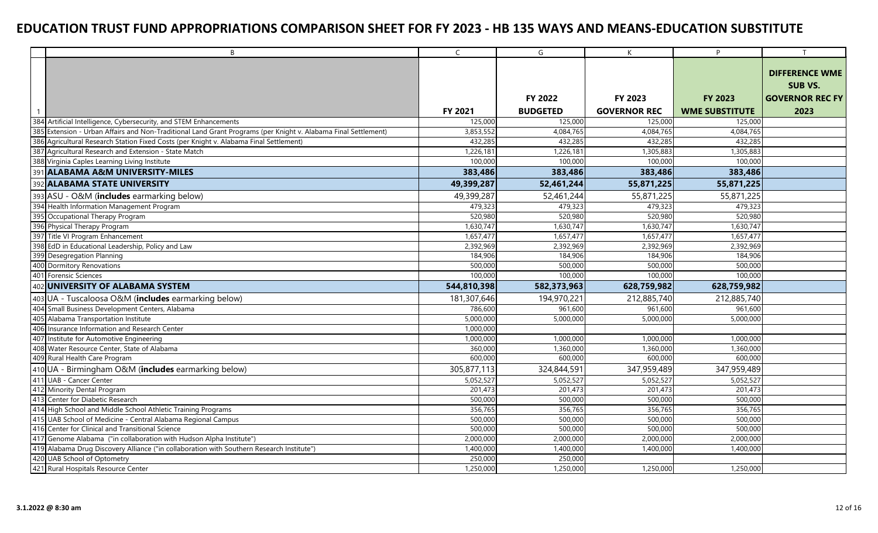|     | $\overline{B}$                                                                                                 | $\mathsf{C}$ | G               | K                   | P                     | T                      |
|-----|----------------------------------------------------------------------------------------------------------------|--------------|-----------------|---------------------|-----------------------|------------------------|
|     |                                                                                                                |              |                 |                     |                       | <b>DIFFERENCE WME</b>  |
|     |                                                                                                                |              |                 |                     |                       |                        |
|     |                                                                                                                |              |                 |                     |                       | <b>SUB VS.</b>         |
|     |                                                                                                                |              | FY 2022         | FY 2023             | <b>FY 2023</b>        | <b>GOVERNOR REC FY</b> |
|     |                                                                                                                | FY 2021      | <b>BUDGETED</b> | <b>GOVERNOR REC</b> | <b>WME SUBSTITUTE</b> | 2023                   |
| 384 | Artificial Intelligence, Cybersecurity, and STEM Enhancements                                                  | 125,000      | 125,000         | 125,000             | 125,000               |                        |
|     | 385 Extension - Urban Affairs and Non-Traditional Land Grant Programs (per Knight v. Alabama Final Settlement) | 3,853,552    | 4,084,765       | 4,084,765           | 4,084,765             |                        |
|     | 386 Agricultural Research Station Fixed Costs (per Knight v. Alabama Final Settlement)                         | 432.285      | 432,285         | 432,285             | 432,285               |                        |
|     | 387 Agricultural Research and Extension - State Match                                                          | 1,226,181    | 1,226,181       | 1,305,883           | 1,305,883             |                        |
|     | 388 Virginia Caples Learning Living Institute                                                                  | 100,000      | 100,000         | 100,000             | 100,000               |                        |
|     | 391 ALABAMA A&M UNIVERSITY-MILES                                                                               | 383,486      | 383,486         | 383,486             | 383,486               |                        |
|     | 392 ALABAMA STATE UNIVERSITY                                                                                   | 49,399,287   | 52,461,244      | 55,871,225          | 55,871,225            |                        |
|     | 393 ASU - O&M (includes earmarking below)                                                                      | 49,399,287   | 52,461,244      | 55,871,225          | 55,871,225            |                        |
|     | 394 Health Information Management Program                                                                      | 479,323      | 479,323         | 479,323             | 479,323               |                        |
|     | 395 Occupational Therapy Program                                                                               | 520,980      | 520,980         | 520,980             | 520,980               |                        |
|     | 396 Physical Therapy Program                                                                                   | 1,630,747    | 1,630,747       | 1,630,747           | 1,630,747             |                        |
|     | 397 Title VI Program Enhancement                                                                               | 1,657,477    | 1,657,477       | 1,657,477           | 1,657,477             |                        |
|     | 398 EdD in Educational Leadership, Policy and Law                                                              | 2,392,969    | 2,392,969       | 2,392,969           | 2,392,969             |                        |
|     | 399 Desegregation Planning                                                                                     | 184,906      | 184,906         | 184,906             | 184,906               |                        |
|     | 400 Dormitory Renovations                                                                                      | 500,000      | 500,000         | 500,000             | 500,000               |                        |
|     | 401 Forensic Sciences                                                                                          | 100,000      | 100,000         | 100,000             | 100,000               |                        |
|     | 402 UNIVERSITY OF ALABAMA SYSTEM                                                                               | 544,810,398  | 582,373,963     | 628,759,982         | 628,759,982           |                        |
|     | 403 UA - Tuscaloosa O&M (includes earmarking below)                                                            | 181,307,646  | 194,970,221     | 212,885,740         | 212,885,740           |                        |
|     | 404 Small Business Development Centers, Alabama                                                                | 786,600      | 961,600         | 961,600             | 961,600               |                        |
|     | 405 Alabama Transportation Institute                                                                           | 5,000,000    | 5,000,000       | 5,000,000           | 5,000,000             |                        |
|     | 406 Insurance Information and Research Center                                                                  | 1,000,000    |                 |                     |                       |                        |
|     | 407 Institute for Automotive Engineering                                                                       | 1,000,000    | 1,000,000       | 1,000,000           | 1,000,000             |                        |
|     | 408 Water Resource Center, State of Alabama                                                                    | 360,000      | 1,360,000       | 1,360,000           | 1,360,000             |                        |
|     | 409 Rural Health Care Program                                                                                  | 600,000      | 600,000         | 600,000             | 600,000               |                        |
|     | 410 UA - Birmingham O&M (includes earmarking below)                                                            | 305,877,113  | 324,844,591     | 347,959,489         | 347,959,489           |                        |
|     | 411 UAB - Cancer Center                                                                                        | 5,052,527    | 5,052,527       | 5,052,527           | 5,052,527             |                        |
|     | 412 Minority Dental Program                                                                                    | 201,473      | 201,473         | 201,473             | 201,473               |                        |
|     | 413 Center for Diabetic Research                                                                               | 500,000      | 500,000         | 500,000             | 500,000               |                        |
|     | 414 High School and Middle School Athletic Training Programs                                                   | 356,765      | 356,765         | 356,765             | 356,765               |                        |
|     | 415 UAB School of Medicine - Central Alabama Regional Campus                                                   | 500,000      | 500,000         | 500,000             | 500,000               |                        |
|     | 416 Center for Clinical and Transitional Science                                                               | 500,000      | 500,000         | 500,000             | 500,000               |                        |
|     | 417 Genome Alabama ("in collaboration with Hudson Alpha Institute")                                            | 2,000,000    | 2,000,000       | 2,000,000           | 2,000,000             |                        |
|     | 419 Alabama Drug Discovery Alliance ("in collaboration with Southern Research Institute")                      | 1,400,000    | 1,400,000       | 1,400,000           | 1,400,000             |                        |
|     | 420 UAB School of Optometry                                                                                    | 250,000      | 250,000         |                     |                       |                        |
|     | 421 Rural Hospitals Resource Center                                                                            | 1,250,000    | 1,250,000       | 1,250,000           | 1,250,000             |                        |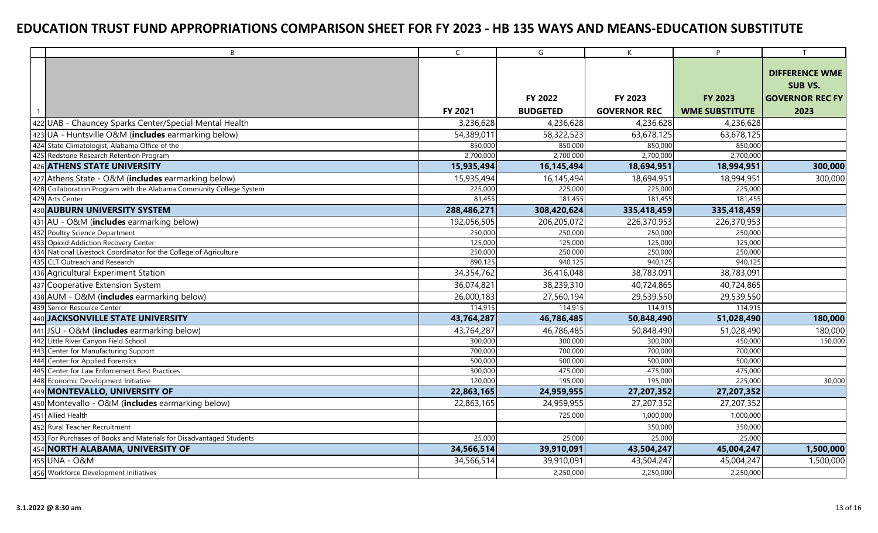| B                                                                      | $\mathsf{C}$ | G               | K                   | P                     | $\mathsf{T}$           |
|------------------------------------------------------------------------|--------------|-----------------|---------------------|-----------------------|------------------------|
|                                                                        |              |                 |                     |                       | <b>DIFFERENCE WME</b>  |
|                                                                        |              |                 |                     |                       |                        |
|                                                                        |              |                 |                     |                       | <b>SUB VS.</b>         |
|                                                                        |              | FY 2022         | FY 2023             | <b>FY 2023</b>        | <b>GOVERNOR REC FY</b> |
|                                                                        | FY 2021      | <b>BUDGETED</b> | <b>GOVERNOR REC</b> | <b>WME SUBSTITUTE</b> | 2023                   |
| 422 UAB - Chauncey Sparks Center/Special Mental Health                 | 3,236,628    | 4,236,628       | 4,236,628           | 4,236,628             |                        |
| 423 UA - Huntsville O&M (includes earmarking below)                    | 54,389,011   | 58,322,523      | 63,678,125          | 63,678,125            |                        |
| 424 State Climatologist, Alabama Office of the                         | 850,000      | 850,000         | 850,000             | 850,000               |                        |
| 425 Redstone Research Retention Program                                | 2,700,000    | 2,700,000       | 2,700,000           | 2,700,000             |                        |
| 426 ATHENS STATE UNIVERSITY                                            | 15,935,494   | 16,145,494      | 18,694,951          | 18,994,951            | 300,000                |
| 427 Athens State - O&M (includes earmarking below)                     | 15,935,494   | 16,145,494      | 18,694,951          | 18,994,951            | 300,000                |
| Collaboration Program with the Alabama Community College System<br>428 | 225,000      | 225,000         | 225,000             | 225,000               |                        |
| 429 Arts Center                                                        | 81,455       | 181,455         | 181,455             | 181,455               |                        |
| 430 AUBURN UNIVERSITY SYSTEM                                           | 288,486,271  | 308,420,624     | 335,418,459         | 335,418,459           |                        |
| 431 AU - O&M (includes earmarking below)                               | 192,056,505  | 206,205,072     | 226,370,953         | 226,370,953           |                        |
| 432 Poultry Science Department                                         | 250,000      | 250,000         | 250,000             | 250,000               |                        |
| 433<br>Opioid Addiction Recovery Center                                | 125,000      | 125,000         | 125,000             | 125,000               |                        |
| 434 National Livestock Coordinator for the College of Agriculture      | 250,000      | 250,000         | 250,000             | 250,000               |                        |
| 435<br><b>CLT Outreach and Research</b>                                | 890,125      | 940,125         | 940,125             | 940,125               |                        |
| 436 Agricultural Experiment Station                                    | 34,354,762   | 36,416,048      | 38,783,091          | 38,783,091            |                        |
| Cooperative Extension System<br>437                                    | 36,074,821   | 38,239,310      | 40,724,865          | 40,724,865            |                        |
| 438 AUM - O&M (includes earmarking below)                              | 26,000,183   | 27,560,194      | 29,539,550          | 29,539,550            |                        |
| 439 Senior Resource Center                                             | 114,915      | 114,915         | 114,915             | 114,915               |                        |
| 440 JACKSONVILLE STATE UNIVERSITY                                      | 43,764,287   | 46,786,485      | 50,848,490          | 51,028,490            | 180,000                |
| 441 JSU - O&M (includes earmarking below)                              | 43,764,287   | 46,786,485      | 50,848,490          | 51,028,490            | 180,000                |
| 442<br>Little River Canyon Field School                                | 300,000      | 300,000         | 300,000             | 450,000               | 150,000                |
| 443<br>Center for Manufacturing Support                                | 700,000      | 700,000         | 700,000             | 700,000               |                        |
| 444 Center for Applied Forensics                                       | 500,000      | 500,000         | 500,000             | 500,000               |                        |
| Center for Law Enforcement Best Practices<br>445                       | 300,000      | 475,000         | 475,000             | 475,000               |                        |
| 448 Economic Development Initiative                                    | 120,000      | 195,000         | 195,000             | 225,000               | 30,000                 |
| 449 MONTEVALLO, UNIVERSITY OF                                          | 22,863,165   | 24,959,955      | 27,207,352          | 27,207,352            |                        |
| 450 Montevallo - O&M (includes earmarking below)                       | 22,863,165   | 24,959,955      | 27,207,352          | 27,207,352            |                        |
| 451 Allied Health                                                      |              | 725,000         | 1,000,000           | 1,000,000             |                        |
| 452 Rural Teacher Recruitment                                          |              |                 | 350,000             | 350,000               |                        |
| 453 For Purchases of Books and Materials for Disadvantaged Students    | 25,000       | 25,000          | 25,000              | 25,000                |                        |
| 454 NORTH ALABAMA, UNIVERSITY OF                                       | 34,566,514   | 39,910,091      | 43,504,247          | 45,004,247            | 1,500,000              |
| 455 UNA - O&M                                                          | 34,566,514   | 39,910,091      | 43,504,247          | 45,004,247            | 1,500,000              |
| 456 Workforce Development Initiatives                                  |              | 2,250,000       | 2,250,000           | 2,250,000             |                        |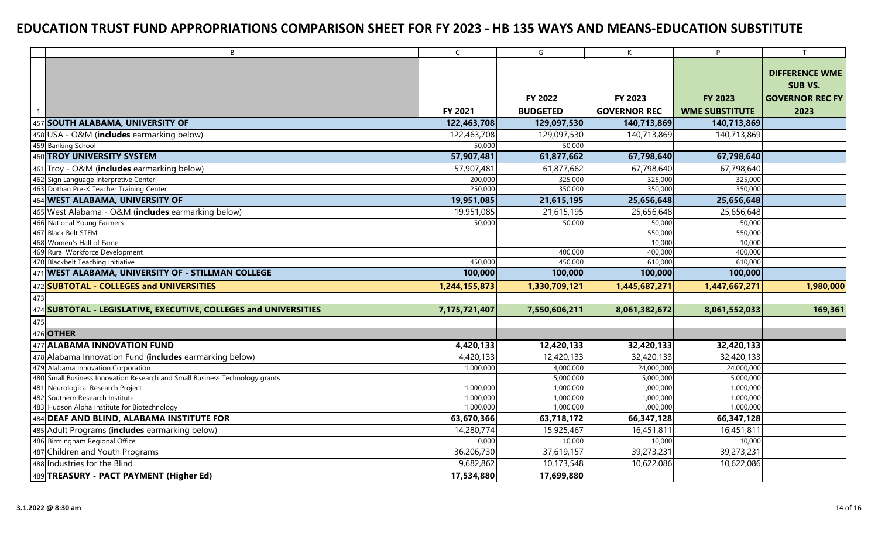| $\mathsf{C}$<br>G<br>B<br>K                                                                                         | P                     |                        |
|---------------------------------------------------------------------------------------------------------------------|-----------------------|------------------------|
|                                                                                                                     |                       |                        |
|                                                                                                                     |                       | <b>DIFFERENCE WME</b>  |
|                                                                                                                     |                       | <b>SUB VS.</b>         |
| <b>FY 2022</b><br><b>FY 2023</b>                                                                                    | <b>FY 2023</b>        | <b>GOVERNOR REC FY</b> |
| FY 2021<br><b>BUDGETED</b><br><b>GOVERNOR REC</b>                                                                   | <b>WME SUBSTITUTE</b> | 2023                   |
| 457 SOUTH ALABAMA, UNIVERSITY OF<br>122,463,708<br>129,097,530<br>140,713,869                                       | 140,713,869           |                        |
| 458 USA - O&M (includes earmarking below)<br>122,463,708<br>129,097,530<br>140,713,869                              | 140,713,869           |                        |
| 459 Banking School<br>50,000<br>50,000                                                                              |                       |                        |
| 460 TROY UNIVERSITY SYSTEM<br>57,907,481<br>61,877,662<br>67,798,640                                                | 67,798,640            |                        |
| 461 Troy - O&M (includes earmarking below)<br>57,907,481<br>61,877,662<br>67,798,640                                | 67,798,640            |                        |
| 462 Sign Language Interpretive Center<br>200,000<br>325,000<br>325,000                                              | 325,000               |                        |
| 463 Dothan Pre-K Teacher Training Center<br>250,000<br>350,000<br>350,000                                           | 350,000               |                        |
| 464 WEST ALABAMA, UNIVERSITY OF<br>21,615,195<br>19,951,085<br>25,656,648                                           | 25,656,648            |                        |
| 465 West Alabama - O&M (includes earmarking below)<br>19,951,085<br>21,615,195<br>25,656,648                        | 25,656,648            |                        |
| 466 National Young Farmers<br>50,000<br>50,000<br>50,000                                                            | 50,000                |                        |
| 467 Black Belt STEM<br>550,000                                                                                      | 550,000               |                        |
| 468 Women's Hall of Fame<br>10,000                                                                                  | 10,000                |                        |
| 469 Rural Workforce Development<br>400,000<br>400,000                                                               | 400,000               |                        |
| 450,000<br>450,000<br>610,000<br>470 Blackbelt Teaching Initiative                                                  | 610,000               |                        |
| 471 WEST ALABAMA, UNIVERSITY OF - STILLMAN COLLEGE<br>100,000<br>100,000<br>100,000                                 | 100,000               |                        |
| 472 SUBTOTAL - COLLEGES and UNIVERSITIES<br>1,244,155,873<br>1,330,709,121<br>1,445,687,271                         | 1,447,667,271         | 1,980,000              |
| 473                                                                                                                 |                       |                        |
| 474 SUBTOTAL - LEGISLATIVE, EXECUTIVE, COLLEGES and UNIVERSITIES<br>7,175,721,407<br>7,550,606,211<br>8,061,382,672 | 8,061,552,033         | 169,361                |
| 475                                                                                                                 |                       |                        |
| 476 OTHER                                                                                                           |                       |                        |
| 477 ALABAMA INNOVATION FUND<br>4,420,133<br>12,420,133<br>32,420,133                                                | 32,420,133            |                        |
| 478 Alabama Innovation Fund (includes earmarking below)<br>4,420,133<br>12,420,133<br>32,420,133                    | 32,420,133            |                        |
| 479 Alabama Innovation Corporation<br>4,000,000<br>24,000,000<br>1,000,000                                          | 24,000,000            |                        |
| 480 Small Business Innovation Research and Small Business Technology grants<br>5,000,000<br>5,000,000               | 5,000,000             |                        |
| 481 Neurological Research Project<br>1,000,000<br>1,000,000<br>1,000,000                                            | 1,000,000             |                        |
| 482 Southern Research Institute<br>1,000,000<br>1,000,000<br>1,000,000                                              | 1,000,000             |                        |
| 483 Hudson Alpha Institute for Biotechnology<br>1,000,000<br>1,000,000<br>1,000,000                                 | 1,000,000             |                        |
| 484 DEAF AND BLIND, ALABAMA INSTITUTE FOR<br>63,670,366<br>63,718,172<br>66,347,128                                 | 66,347,128            |                        |
| 485 Adult Programs (includes earmarking below)<br>14,280,774<br>15,925,467<br>16,451,811                            | 16,451,811            |                        |
| 486 Birmingham Regional Office<br>10,000<br>10,000<br>10,000                                                        | 10,000                |                        |
| 487 Children and Youth Programs<br>36,206,730<br>37,619,157<br>39,273,231                                           | 39,273,231            |                        |
| 488 Industries for the Blind<br>10,173,548<br>9,682,862<br>10,622,086                                               | 10,622,086            |                        |
| 489 TREASURY - PACT PAYMENT (Higher Ed)<br>17,534,880<br>17,699,880                                                 |                       |                        |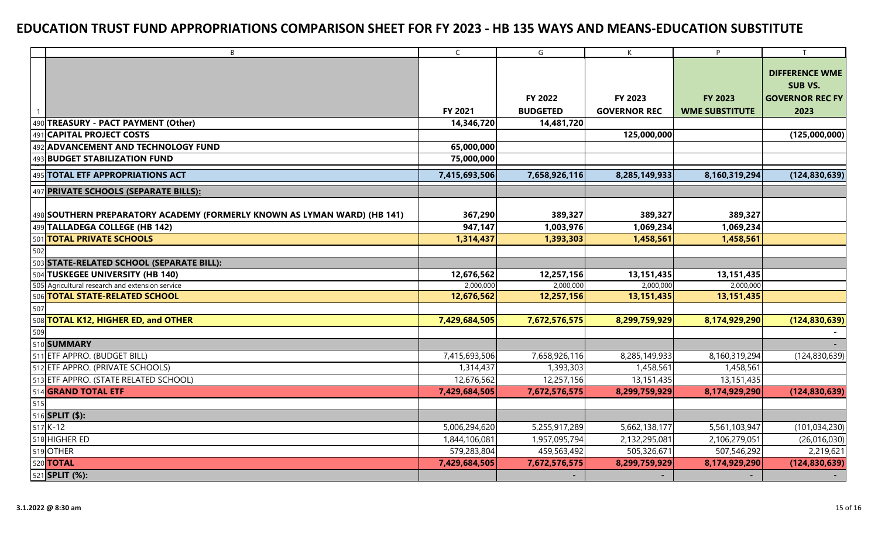|     | B                                                                        | $\mathsf{C}$  | G               | K                        | P                     | T                      |
|-----|--------------------------------------------------------------------------|---------------|-----------------|--------------------------|-----------------------|------------------------|
|     |                                                                          |               |                 |                          |                       |                        |
|     |                                                                          |               |                 |                          |                       | <b>DIFFERENCE WME</b>  |
|     |                                                                          |               |                 |                          |                       | SUB VS.                |
|     |                                                                          |               | FY 2022         | FY 2023                  | <b>FY 2023</b>        | <b>GOVERNOR REC FY</b> |
|     |                                                                          | FY 2021       | <b>BUDGETED</b> | <b>GOVERNOR REC</b>      | <b>WME SUBSTITUTE</b> | 2023                   |
| 490 | TREASURY - PACT PAYMENT (Other)                                          | 14,346,720    | 14,481,720      |                          |                       |                        |
|     | 491 CAPITAL PROJECT COSTS                                                |               |                 | 125,000,000              |                       | (125,000,000)          |
|     | 492 ADVANCEMENT AND TECHNOLOGY FUND                                      | 65,000,000    |                 |                          |                       |                        |
|     | 493 BUDGET STABILIZATION FUND                                            | 75,000,000    |                 |                          |                       |                        |
| 495 | <b>TOTAL ETF APPROPRIATIONS ACT</b>                                      | 7,415,693,506 | 7,658,926,116   | 8,285,149,933            | 8,160,319,294         | (124, 830, 639)        |
|     | 497 PRIVATE SCHOOLS (SEPARATE BILLS):                                    |               |                 |                          |                       |                        |
|     |                                                                          |               |                 |                          |                       |                        |
|     | 498 SOUTHERN PREPARATORY ACADEMY (FORMERLY KNOWN AS LYMAN WARD) (HB 141) | 367,290       | 389,327         | 389,327                  | 389,327               |                        |
|     | 499 TALLADEGA COLLEGE (HB 142)                                           | 947,147       | 1,003,976       | 1,069,234                | 1,069,234             |                        |
|     | 501 TOTAL PRIVATE SCHOOLS                                                | 1,314,437     | 1,393,303       | 1,458,561                | 1,458,561             |                        |
| 502 |                                                                          |               |                 |                          |                       |                        |
|     | 503 STATE-RELATED SCHOOL (SEPARATE BILL):                                |               |                 |                          |                       |                        |
| 504 | <b>TUSKEGEE UNIVERSITY (HB 140)</b>                                      | 12,676,562    | 12,257,156      | 13, 151, 435             | 13, 151, 435          |                        |
|     | 505 Agricultural research and extension service                          | 2,000,000     | 2,000,000       | 2,000,000                | 2,000,000             |                        |
|     | 506 TOTAL STATE-RELATED SCHOOL                                           | 12,676,562    | 12,257,156      | 13, 151, 435             | 13,151,435            |                        |
| 507 |                                                                          |               |                 |                          |                       |                        |
|     | 508 TOTAL K12, HIGHER ED, and OTHER                                      | 7,429,684,505 | 7,672,576,575   | 8,299,759,929            | 8,174,929,290         | (124, 830, 639)        |
| 509 |                                                                          |               |                 |                          |                       |                        |
|     | 510 SUMMARY                                                              |               |                 |                          |                       |                        |
|     | 511 ETF APPRO. (BUDGET BILL)                                             | 7,415,693,506 | 7,658,926,116   | 8,285,149,933            | 8,160,319,294         | (124, 830, 639)        |
|     | 512 ETF APPRO. (PRIVATE SCHOOLS)                                         | 1,314,437     | 1,393,303       | 1,458,561                | 1,458,561             |                        |
|     | 513 ETF APPRO. (STATE RELATED SCHOOL)                                    | 12,676,562    | 12,257,156      | 13,151,435               | 13,151,435            |                        |
|     | 514 <b>GRAND TOTAL ETF</b>                                               | 7,429,684,505 | 7,672,576,575   | 8,299,759,929            | 8,174,929,290         | (124, 830, 639)        |
| 515 |                                                                          |               |                 |                          |                       |                        |
|     | 516 <b>SPLIT (\$):</b>                                                   |               |                 |                          |                       |                        |
|     | 517 K-12                                                                 | 5,006,294,620 | 5,255,917,289   | 5,662,138,177            | 5,561,103,947         | (101, 034, 230)        |
|     | 518 HIGHER ED                                                            | 1,844,106,081 | 1,957,095,794   | 2,132,295,081            | 2,106,279,051         | (26,016,030)           |
|     | 519 OTHER                                                                | 579,283,804   | 459,563,492     | 505,326,671              | 507,546,292           | 2,219,621              |
|     | 520 <b>TOTAL</b>                                                         | 7,429,684,505 | 7,672,576,575   | 8,299,759,929            | 8,174,929,290         | (124, 830, 639)        |
|     | 521 <b>SPLIT (%):</b>                                                    |               |                 | $\overline{\phantom{0}}$ |                       |                        |